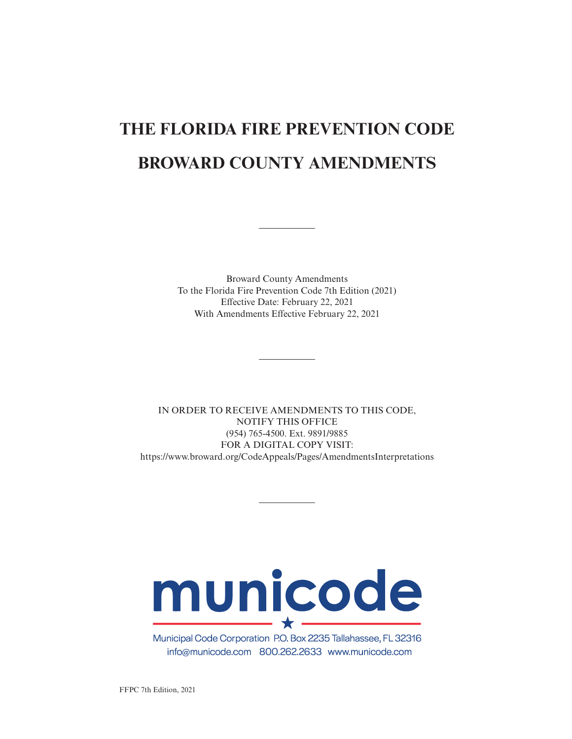# **THE FLORIDA FIRE PREVENTION CODE BROWARD COUNTY AMENDMENTS**

Broward County Amendments To the Florida Fire Prevention Code 7th Edition (2021) Effective Date: February 22, 2021 With Amendments Effective February 22, 2021

IN ORDER TO RECEIVE AMENDMENTS TO THIS CODE, NOTIFY THIS OFFICE (954) 765-4500. Ext. 9891/9885 FOR A DIGITAL COPY VISIT: https://www.broward.org/CodeAppeals/Pages/AmendmentsInterpretations

# municode  $\star$   $-$

Municipal Code Corporation P.O. Box 2235 Tallahassee, FL 32316 info@municode.com 800.262.2633 www.municode.com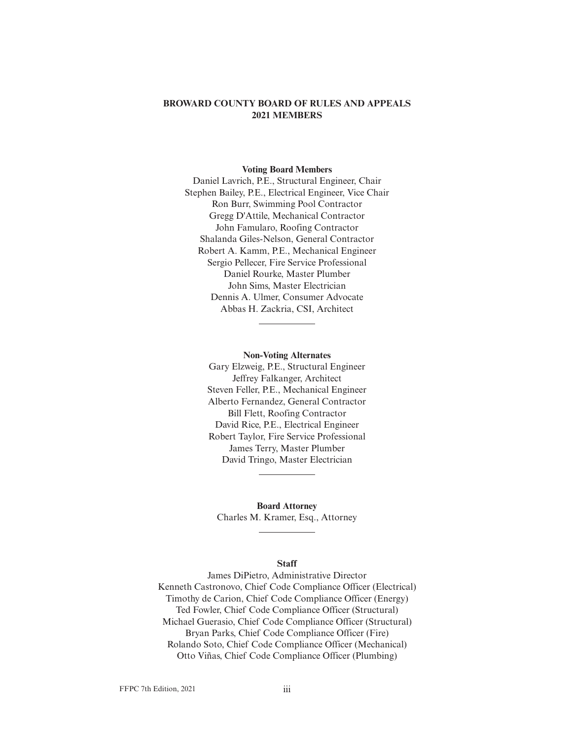# **BROWARD COUNTY BOARD OF RULES AND APPEALS 2021 MEMBERS**

#### **Voting Board Members**

Daniel Lavrich, P.E., Structural Engineer, Chair Stephen Bailey, P.E., Electrical Engineer, Vice Chair Ron Burr, Swimming Pool Contractor Gregg D'Attile, Mechanical Contractor John Famularo, Roofing Contractor Shalanda Giles-Nelson, General Contractor Robert A. Kamm, P.E., Mechanical Engineer Sergio Pellecer, Fire Service Professional Daniel Rourke, Master Plumber John Sims, Master Electrician Dennis A. Ulmer, Consumer Advocate Abbas H. Zackria, CSI, Architect

> **Non-Voting Alternates** Gary Elzweig, P.E., Structural Engineer Jeffrey Falkanger, Architect Steven Feller, P.E., Mechanical Engineer Alberto Fernandez, General Contractor Bill Flett, Roofing Contractor David Rice, P.E., Electrical Engineer Robert Taylor, Fire Service Professional James Terry, Master Plumber David Tringo, Master Electrician

**Board Attorney** Charles M. Kramer, Esq., Attorney

#### **Staff**

James DiPietro, Administrative Director Kenneth Castronovo, Chief Code Compliance Officer (Electrical) Timothy de Carion, Chief Code Compliance Officer (Energy) Ted Fowler, Chief Code Compliance Officer (Structural) Michael Guerasio, Chief Code Compliance Officer (Structural) Bryan Parks, Chief Code Compliance Officer (Fire) Rolando Soto, Chief Code Compliance Officer (Mechanical) Otto Viñas, Chief Code Compliance Officer (Plumbing)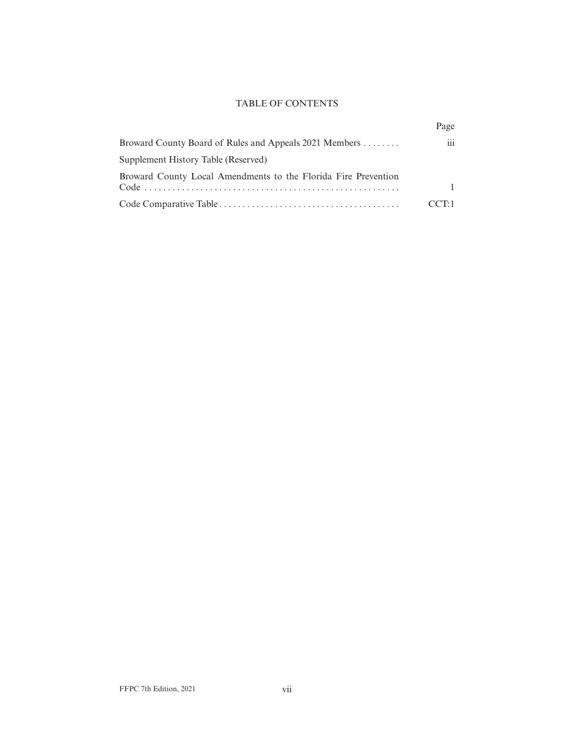# TABLE OF CONTENTS

|                                                                | Page |
|----------------------------------------------------------------|------|
| Broward County Board of Rules and Appeals 2021 Members         | 111  |
| Supplement History Table (Reserved)                            |      |
| Broward County Local Amendments to the Florida Fire Prevention |      |
|                                                                | ΤH   |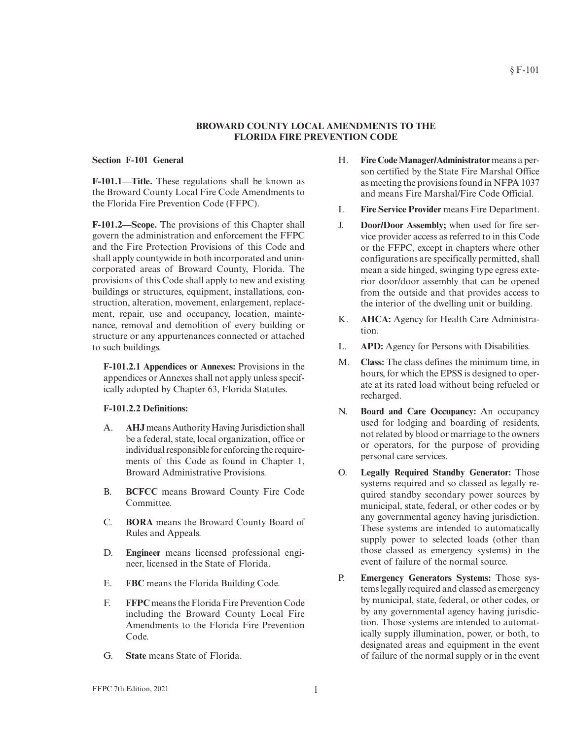#### **BROWARD COUNTY LOCAL AMENDMENTS TO THE FLORIDA FIRE PREVENTION CODE**

#### **Section F-101 General**

**F-101.1—Title.** These regulations shall be known as the Broward County Local Fire Code Amendments to the Florida Fire Prevention Code (FFPC).

**F-101.2—Scope.** The provisions of this Chapter shall govern the administration and enforcement the FFPC and the Fire Protection Provisions of this Code and shall apply countywide in both incorporated and unincorporated areas of Broward County, Florida. The provisions of this Code shall apply to new and existing buildings or structures, equipment, installations, construction, alteration, movement, enlargement, replacement, repair, use and occupancy, location, maintenance, removal and demolition of every building or structure or any appurtenances connected or attached to such buildings.

**F-101.2.1 Appendices or Annexes:** Provisions in the appendices or Annexes shall not apply unless specifically adopted by Chapter 63, Florida Statutes.

#### **F-101.2.2 Definitions:**

- A. **AHJ**means AuthorityHaving Jurisdiction shall be a federal, state, local organization, office or individual responsible for enforcing the requirements of this Code as found in Chapter 1, Broward Administrative Provisions.
- B. **BCFCC** means Broward County Fire Code Committee.
- C. **BORA** means the Broward County Board of Rules and Appeals.
- D. **Engineer** means licensed professional engineer, licensed in the State of Florida.
- E. **FBC** means the Florida Building Code.
- F. **FFPC** means the Florida Fire Prevention Code including the Broward County Local Fire Amendments to the Florida Fire Prevention Code.
- G. **State** means State of Florida.
- H. **Fire CodeManager/Administrator** means a person certified by the State Fire Marshal Office as meeting the provisions found in NFPA 1037 and means Fire Marshal/Fire Code Official.
- I. **Fire Service Provider** means Fire Department.
- J. **Door/Door Assembly;** when used for fire service provider access as referred to in this Code or the FFPC, except in chapters where other configurations are specifically permitted, shall mean a side hinged, swinging type egress exterior door/door assembly that can be opened from the outside and that provides access to the interior of the dwelling unit or building.
- K. **AHCA:** Agency for Health Care Administration.
- L. **APD:** Agency for Persons with Disabilities.
- M. **Class:** The class defines the minimum time, in hours, for which the EPSS is designed to operate at its rated load without being refueled or recharged.
- N. **Board and Care Occupancy:** An occupancy used for lodging and boarding of residents, not related by blood or marriage to the owners or operators, for the purpose of providing personal care services.
- O. **Legally Required Standby Generator:** Those systems required and so classed as legally required standby secondary power sources by municipal, state, federal, or other codes or by any governmental agency having jurisdiction. These systems are intended to automatically supply power to selected loads (other than those classed as emergency systems) in the event of failure of the normal source.
- P. **Emergency Generators Systems:** Those systems legally required and classed as emergency by municipal, state, federal, or other codes, or by any governmental agency having jurisdiction. Those systems are intended to automatically supply illumination, power, or both, to designated areas and equipment in the event of failure of the normal supply or in the event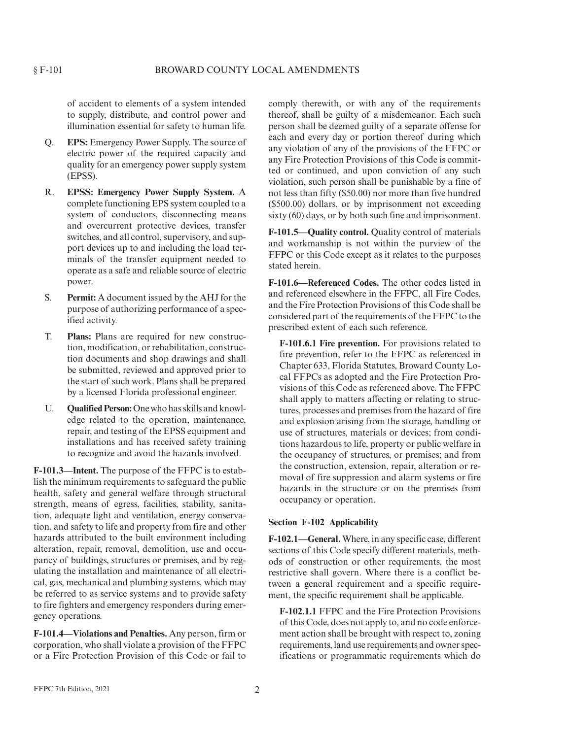of accident to elements of a system intended to supply, distribute, and control power and illumination essential for safety to human life.

- Q. **EPS:** Emergency Power Supply. The source of electric power of the required capacity and quality for an emergency power supply system (EPSS).
- R. **EPSS: Emergency Power Supply System.** A complete functioning EPS system coupled to a system of conductors, disconnecting means and overcurrent protective devices, transfer switches, and all control, supervisory, and support devices up to and including the load terminals of the transfer equipment needed to operate as a safe and reliable source of electric power.
- S. **Permit:** A document issued by the AHJ for the purpose of authorizing performance of a specified activity.
- T. **Plans:** Plans are required for new construction, modification, or rehabilitation, construction documents and shop drawings and shall be submitted, reviewed and approved prior to the start of such work. Plans shall be prepared by a licensed Florida professional engineer.
- U. **Qualified Person:**One who has skills and knowledge related to the operation, maintenance, repair, and testing of the EPSS equipment and installations and has received safety training to recognize and avoid the hazards involved.

**F-101.3—Intent.** The purpose of the FFPC is to establish the minimum requirements to safeguard the public health, safety and general welfare through structural strength, means of egress, facilities, stability, sanitation, adequate light and ventilation, energy conservation, and safety to life and property from fire and other hazards attributed to the built environment including alteration, repair, removal, demolition, use and occupancy of buildings, structures or premises, and by regulating the installation and maintenance of all electrical, gas, mechanical and plumbing systems, which may be referred to as service systems and to provide safety to fire fighters and emergency responders during emergency operations.

**F-101.4—Violations and Penalties.** Any person, firm or corporation, who shall violate a provision of the FFPC or a Fire Protection Provision of this Code or fail to

comply therewith, or with any of the requirements thereof, shall be guilty of a misdemeanor. Each such person shall be deemed guilty of a separate offense for each and every day or portion thereof during which any violation of any of the provisions of the FFPC or any Fire Protection Provisions of this Code is committed or continued, and upon conviction of any such violation, such person shall be punishable by a fine of not less than fifty (\$50.00) nor more than five hundred (\$500.00) dollars, or by imprisonment not exceeding sixty (60) days, or by both such fine and imprisonment.

**F-101.5—Quality control.** Quality control of materials and workmanship is not within the purview of the FFPC or this Code except as it relates to the purposes stated herein.

**F-101.6—Referenced Codes.** The other codes listed in and referenced elsewhere in the FFPC, all Fire Codes, and the Fire Protection Provisions of this Code shall be considered part of the requirements of the FFPC to the prescribed extent of each such reference.

**F-101.6.1 Fire prevention.** For provisions related to fire prevention, refer to the FFPC as referenced in Chapter 633, Florida Statutes, Broward County Local FFPCs as adopted and the Fire Protection Provisions of this Code as referenced above. The FFPC shall apply to matters affecting or relating to structures, processes and premises from the hazard of fire and explosion arising from the storage, handling or use of structures, materials or devices; from conditions hazardous to life, property or public welfare in the occupancy of structures, or premises; and from the construction, extension, repair, alteration or removal of fire suppression and alarm systems or fire hazards in the structure or on the premises from occupancy or operation.

#### **Section F-102 Applicability**

**F-102.1—General.** Where, in any specific case, different sections of this Code specify different materials, methods of construction or other requirements, the most restrictive shall govern. Where there is a conflict between a general requirement and a specific requirement, the specific requirement shall be applicable.

**F-102.1.1** FFPC and the Fire Protection Provisions of this Code, does not apply to, and no code enforcement action shall be brought with respect to, zoning requirements, land use requirements and owner specifications or programmatic requirements which do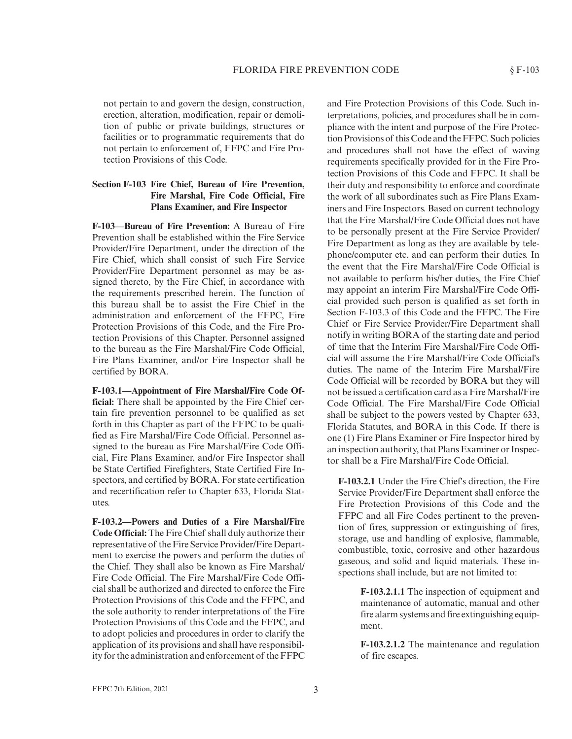not pertain to and govern the design, construction, erection, alteration, modification, repair or demolition of public or private buildings, structures or facilities or to programmatic requirements that do not pertain to enforcement of, FFPC and Fire Protection Provisions of this Code.

# **Section F-103 Fire Chief, Bureau of Fire Prevention, Fire Marshal, Fire Code Official, Fire Plans Examiner, and Fire Inspector**

**F-103—Bureau of Fire Prevention:** A Bureau of Fire Prevention shall be established within the Fire Service Provider/Fire Department, under the direction of the Fire Chief, which shall consist of such Fire Service Provider/Fire Department personnel as may be assigned thereto, by the Fire Chief, in accordance with the requirements prescribed herein. The function of this bureau shall be to assist the Fire Chief in the administration and enforcement of the FFPC, Fire Protection Provisions of this Code, and the Fire Protection Provisions of this Chapter. Personnel assigned to the bureau as the Fire Marshal/Fire Code Official, Fire Plans Examiner, and/or Fire Inspector shall be certified by BORA.

**F-103.1—Appointment of Fire Marshal/Fire Code Official:** There shall be appointed by the Fire Chief certain fire prevention personnel to be qualified as set forth in this Chapter as part of the FFPC to be qualified as Fire Marshal/Fire Code Official. Personnel assigned to the bureau as Fire Marshal/Fire Code Official, Fire Plans Examiner, and/or Fire Inspector shall be State Certified Firefighters, State Certified Fire Inspectors, and certified by BORA. For state certification and recertification refer to Chapter 633, Florida Statutes.

**F-103.2—Powers and Duties of a Fire Marshal/Fire Code Official:** The Fire Chief shall duly authorize their representative of the Fire Service Provider/Fire Department to exercise the powers and perform the duties of the Chief. They shall also be known as Fire Marshal/ Fire Code Official. The Fire Marshal/Fire Code Official shall be authorized and directed to enforce the Fire Protection Provisions of this Code and the FFPC, and the sole authority to render interpretations of the Fire Protection Provisions of this Code and the FFPC, and to adopt policies and procedures in order to clarify the application of its provisions and shall have responsibility for the administration and enforcement of the FFPC

and Fire Protection Provisions of this Code. Such interpretations, policies, and procedures shall be in compliance with the intent and purpose of the Fire Protection Provisions of this Code and the FFPC. Such policies and procedures shall not have the effect of waving requirements specifically provided for in the Fire Protection Provisions of this Code and FFPC. It shall be their duty and responsibility to enforce and coordinate the work of all subordinates such as Fire Plans Examiners and Fire Inspectors. Based on current technology that the Fire Marshal/Fire Code Official does not have to be personally present at the Fire Service Provider/ Fire Department as long as they are available by telephone/computer etc. and can perform their duties. In the event that the Fire Marshal/Fire Code Official is not available to perform his/her duties, the Fire Chief may appoint an interim Fire Marshal/Fire Code Official provided such person is qualified as set forth in Section F-103.3 of this Code and the FFPC. The Fire Chief or Fire Service Provider/Fire Department shall notify in writing BORA of the starting date and period of time that the Interim Fire Marshal/Fire Code Official will assume the Fire Marshal/Fire Code Official's duties. The name of the Interim Fire Marshal/Fire Code Official will be recorded by BORA but they will not be issued a certification card as a Fire Marshal/Fire Code Official. The Fire Marshal/Fire Code Official shall be subject to the powers vested by Chapter 633, Florida Statutes, and BORA in this Code. If there is one (1) Fire Plans Examiner or Fire Inspector hired by an inspection authority, that Plans Examiner or Inspector shall be a Fire Marshal/Fire Code Official.

**F-103.2.1** Under the Fire Chief's direction, the Fire Service Provider/Fire Department shall enforce the Fire Protection Provisions of this Code and the FFPC and all Fire Codes pertinent to the prevention of fires, suppression or extinguishing of fires, storage, use and handling of explosive, flammable, combustible, toxic, corrosive and other hazardous gaseous, and solid and liquid materials. These inspections shall include, but are not limited to:

> **F-103.2.1.1** The inspection of equipment and maintenance of automatic, manual and other fire alarm systems and fire extinguishing equipment.

> **F-103.2.1.2** The maintenance and regulation of fire escapes.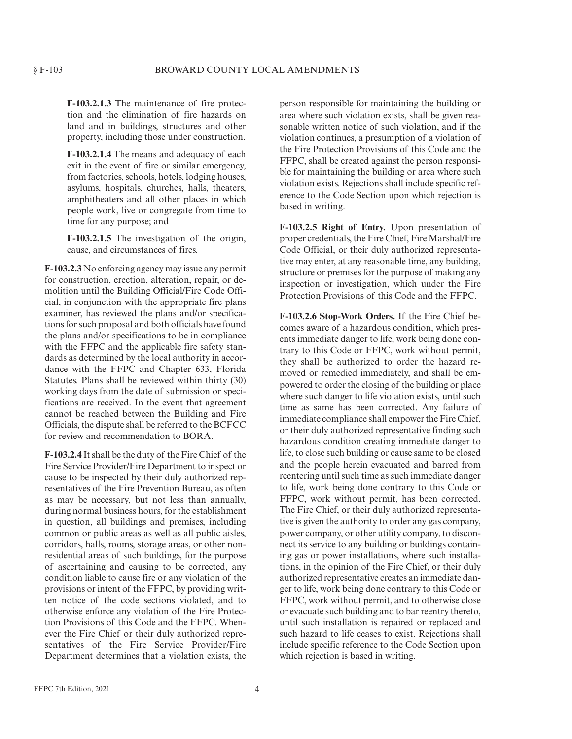**F-103.2.1.3** The maintenance of fire protection and the elimination of fire hazards on land and in buildings, structures and other property, including those under construction.

**F-103.2.1.4** The means and adequacy of each exit in the event of fire or similar emergency, from factories, schools, hotels, lodging houses, asylums, hospitals, churches, halls, theaters, amphitheaters and all other places in which people work, live or congregate from time to time for any purpose; and

**F-103.2.1.5** The investigation of the origin, cause, and circumstances of fires.

**F-103.2.3** No enforcing agency may issue any permit for construction, erection, alteration, repair, or demolition until the Building Official/Fire Code Official, in conjunction with the appropriate fire plans examiner, has reviewed the plans and/or specifications for such proposal and both officials have found the plans and/or specifications to be in compliance with the FFPC and the applicable fire safety standards as determined by the local authority in accordance with the FFPC and Chapter 633, Florida Statutes. Plans shall be reviewed within thirty (30) working days from the date of submission or specifications are received. In the event that agreement cannot be reached between the Building and Fire Officials, the dispute shall be referred to the BCFCC for review and recommendation to BORA.

**F-103.2.4** It shall be the duty of the Fire Chief of the Fire Service Provider/Fire Department to inspect or cause to be inspected by their duly authorized representatives of the Fire Prevention Bureau, as often as may be necessary, but not less than annually, during normal business hours, for the establishment in question, all buildings and premises, including common or public areas as well as all public aisles, corridors, halls, rooms, storage areas, or other nonresidential areas of such buildings, for the purpose of ascertaining and causing to be corrected, any condition liable to cause fire or any violation of the provisions or intent of the FFPC, by providing written notice of the code sections violated, and to otherwise enforce any violation of the Fire Protection Provisions of this Code and the FFPC. Whenever the Fire Chief or their duly authorized representatives of the Fire Service Provider/Fire Department determines that a violation exists, the

person responsible for maintaining the building or area where such violation exists, shall be given reasonable written notice of such violation, and if the violation continues, a presumption of a violation of the Fire Protection Provisions of this Code and the FFPC, shall be created against the person responsible for maintaining the building or area where such violation exists. Rejections shall include specific reference to the Code Section upon which rejection is based in writing.

**F-103.2.5 Right of Entry.** Upon presentation of proper credentials, the Fire Chief, Fire Marshal/Fire Code Official, or their duly authorized representative may enter, at any reasonable time, any building, structure or premises for the purpose of making any inspection or investigation, which under the Fire Protection Provisions of this Code and the FFPC.

**F-103.2.6 Stop-Work Orders.** If the Fire Chief becomes aware of a hazardous condition, which presents immediate danger to life, work being done contrary to this Code or FFPC, work without permit, they shall be authorized to order the hazard removed or remedied immediately, and shall be empowered to order the closing of the building or place where such danger to life violation exists, until such time as same has been corrected. Any failure of immediate compliance shall empower the Fire Chief, or their duly authorized representative finding such hazardous condition creating immediate danger to life, to close such building or cause same to be closed and the people herein evacuated and barred from reentering until such time as such immediate danger to life, work being done contrary to this Code or FFPC, work without permit, has been corrected. The Fire Chief, or their duly authorized representative is given the authority to order any gas company, power company, or other utility company, to disconnect its service to any building or buildings containing gas or power installations, where such installations, in the opinion of the Fire Chief, or their duly authorized representative creates an immediate danger to life, work being done contrary to this Code or FFPC, work without permit, and to otherwise close or evacuate such building and to bar reentry thereto, until such installation is repaired or replaced and such hazard to life ceases to exist. Rejections shall include specific reference to the Code Section upon which rejection is based in writing.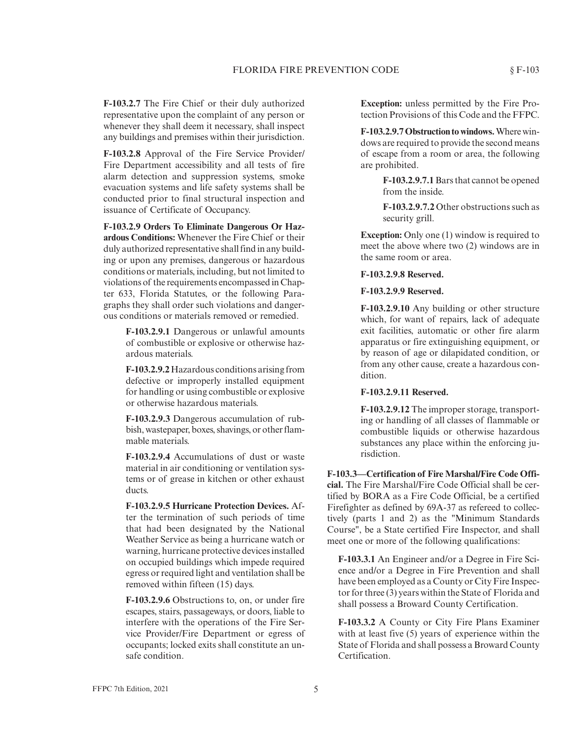**F-103.2.7** The Fire Chief or their duly authorized representative upon the complaint of any person or whenever they shall deem it necessary, shall inspect any buildings and premises within their jurisdiction.

**F-103.2.8** Approval of the Fire Service Provider/ Fire Department accessibility and all tests of fire alarm detection and suppression systems, smoke evacuation systems and life safety systems shall be conducted prior to final structural inspection and issuance of Certificate of Occupancy.

**F-103.2.9 Orders To Eliminate Dangerous Or Hazardous Conditions:** Whenever the Fire Chief or their duly authorized representative shall find in any building or upon any premises, dangerous or hazardous conditions or materials, including, but not limited to violations of the requirements encompassed in Chapter 633, Florida Statutes, or the following Paragraphs they shall order such violations and dangerous conditions or materials removed or remedied.

> **F-103.2.9.1** Dangerous or unlawful amounts of combustible or explosive or otherwise hazardous materials.

> **F-103.2.9.2** Hazardous conditions arising from defective or improperly installed equipment for handling or using combustible or explosive or otherwise hazardous materials.

> **F-103.2.9.3** Dangerous accumulation of rubbish, wastepaper, boxes, shavings, or other flammable materials.

> **F-103.2.9.4** Accumulations of dust or waste material in air conditioning or ventilation systems or of grease in kitchen or other exhaust ducts.

**F-103.2.9.5 Hurricane Protection Devices.** After the termination of such periods of time that had been designated by the National Weather Service as being a hurricane watch or warning, hurricane protective devices installed on occupied buildings which impede required egress or required light and ventilation shall be removed within fifteen (15) days.

**F-103.2.9.6** Obstructions to, on, or under fire escapes, stairs, passageways, or doors, liable to interfere with the operations of the Fire Service Provider/Fire Department or egress of occupants; locked exits shall constitute an unsafe condition.

**Exception:** unless permitted by the Fire Protection Provisions of this Code and the FFPC.

**F-103.2.9.7 Obstruction to windows.**Where windows are required to provide the second means of escape from a room or area, the following are prohibited.

> **F-103.2.9.7.1**Bars that cannot be opened from the inside.

> **F-103.2.9.7.2** Other obstructions such as security grill.

**Exception:** Only one (1) window is required to meet the above where two (2) windows are in the same room or area.

**F-103.2.9.8 Reserved.**

**F-103.2.9.9 Reserved.**

**F-103.2.9.10** Any building or other structure which, for want of repairs, lack of adequate exit facilities, automatic or other fire alarm apparatus or fire extinguishing equipment, or by reason of age or dilapidated condition, or from any other cause, create a hazardous condition.

**F-103.2.9.11 Reserved.**

**F-103.2.9.12** The improper storage, transporting or handling of all classes of flammable or combustible liquids or otherwise hazardous substances any place within the enforcing jurisdiction.

**F-103.3—Certification of Fire Marshal/Fire Code Official.** The Fire Marshal/Fire Code Official shall be certified by BORA as a Fire Code Official, be a certified Firefighter as defined by 69A-37 as refereed to collectively (parts 1 and 2) as the "Minimum Standards Course", be a State certified Fire Inspector, and shall meet one or more of the following qualifications:

**F-103.3.1** An Engineer and/or a Degree in Fire Science and/or a Degree in Fire Prevention and shall have been employed as a County or City Fire Inspector for three (3) years within the State of Florida and shall possess a Broward County Certification.

**F-103.3.2** A County or City Fire Plans Examiner with at least five (5) years of experience within the State of Florida and shall possess a Broward County Certification.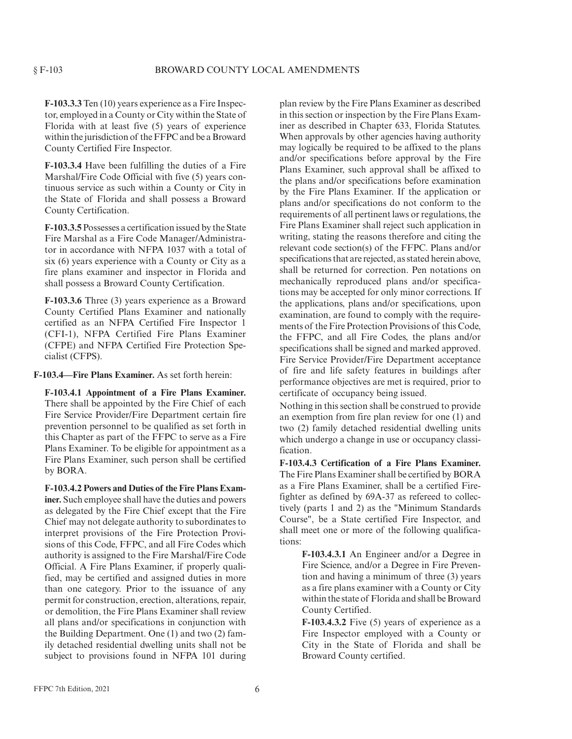**F-103.3.3** Ten (10) years experience as a Fire Inspector, employed in a County or City within the State of Florida with at least five (5) years of experience within the jurisdiction of the FFPC and be a Broward County Certified Fire Inspector.

**F-103.3.4** Have been fulfilling the duties of a Fire Marshal/Fire Code Official with five (5) years continuous service as such within a County or City in the State of Florida and shall possess a Broward County Certification.

**F-103.3.5** Possesses a certification issued by the State Fire Marshal as a Fire Code Manager/Administrator in accordance with NFPA 1037 with a total of six (6) years experience with a County or City as a fire plans examiner and inspector in Florida and shall possess a Broward County Certification.

**F-103.3.6** Three (3) years experience as a Broward County Certified Plans Examiner and nationally certified as an NFPA Certified Fire Inspector 1 (CFI-1), NFPA Certified Fire Plans Examiner (CFPE) and NFPA Certified Fire Protection Specialist (CFPS).

**F-103.4—Fire Plans Examiner.** As set forth herein:

**F-103.4.1 Appointment of a Fire Plans Examiner.** There shall be appointed by the Fire Chief of each Fire Service Provider/Fire Department certain fire prevention personnel to be qualified as set forth in this Chapter as part of the FFPC to serve as a Fire Plans Examiner. To be eligible for appointment as a Fire Plans Examiner, such person shall be certified by BORA.

**F-103.4.2 Powers and Duties of the Fire Plans Examiner.** Such employee shall have the duties and powers as delegated by the Fire Chief except that the Fire Chief may not delegate authority to subordinates to interpret provisions of the Fire Protection Provisions of this Code, FFPC, and all Fire Codes which authority is assigned to the Fire Marshal/Fire Code Official. A Fire Plans Examiner, if properly qualified, may be certified and assigned duties in more than one category. Prior to the issuance of any permit for construction, erection, alterations, repair, or demolition, the Fire Plans Examiner shall review all plans and/or specifications in conjunction with the Building Department. One (1) and two (2) family detached residential dwelling units shall not be subject to provisions found in NFPA 101 during

plan review by the Fire Plans Examiner as described in this section or inspection by the Fire Plans Examiner as described in Chapter 633, Florida Statutes. When approvals by other agencies having authority may logically be required to be affixed to the plans and/or specifications before approval by the Fire Plans Examiner, such approval shall be affixed to the plans and/or specifications before examination by the Fire Plans Examiner. If the application or plans and/or specifications do not conform to the requirements of all pertinent laws or regulations, the Fire Plans Examiner shall reject such application in writing, stating the reasons therefore and citing the relevant code section(s) of the FFPC. Plans and/or specifications that are rejected, as stated herein above, shall be returned for correction. Pen notations on mechanically reproduced plans and/or specifications may be accepted for only minor corrections. If the applications, plans and/or specifications, upon examination, are found to comply with the requirements of the Fire Protection Provisions of this Code, the FFPC, and all Fire Codes, the plans and/or specifications shall be signed and marked approved. Fire Service Provider/Fire Department acceptance of fire and life safety features in buildings after performance objectives are met is required, prior to certificate of occupancy being issued.

Nothing in this section shall be construed to provide an exemption from fire plan review for one (1) and two (2) family detached residential dwelling units which undergo a change in use or occupancy classification.

**F-103.4.3 Certification of a Fire Plans Examiner.** The Fire Plans Examiner shall be certified by BORA as a Fire Plans Examiner, shall be a certified Firefighter as defined by 69A-37 as refereed to collectively (parts 1 and 2) as the "Minimum Standards Course", be a State certified Fire Inspector, and shall meet one or more of the following qualifications:

> **F-103.4.3.1** An Engineer and/or a Degree in Fire Science, and/or a Degree in Fire Prevention and having a minimum of three (3) years as a fire plans examiner with a County or City within the state of Florida and shall be Broward County Certified.

**F-103.4.3.2** Five (5) years of experience as a Fire Inspector employed with a County or City in the State of Florida and shall be Broward County certified.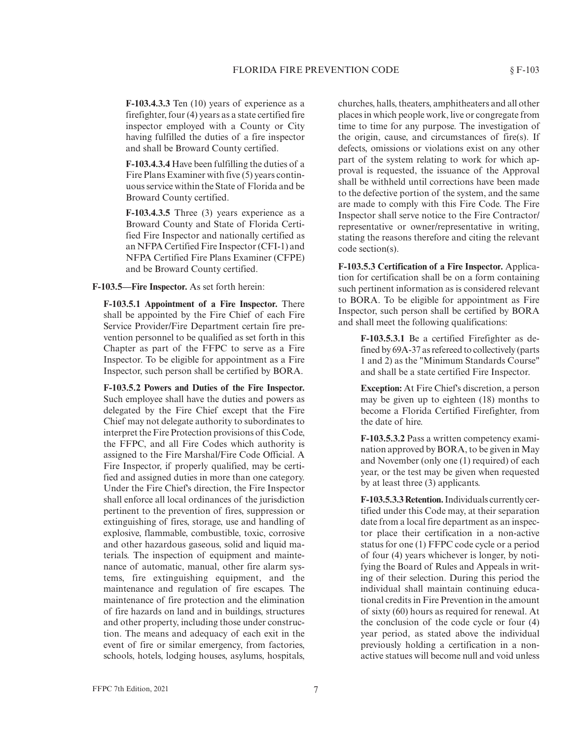**F-103.4.3.3** Ten (10) years of experience as a firefighter, four (4) years as a state certified fire inspector employed with a County or City having fulfilled the duties of a fire inspector and shall be Broward County certified.

**F-103.4.3.4** Have been fulfilling the duties of a Fire Plans Examiner with five (5) years continuous service within the State of Florida and be Broward County certified.

**F-103.4.3.5** Three (3) years experience as a Broward County and State of Florida Certified Fire Inspector and nationally certified as an NFPA Certified Fire Inspector (CFI-1) and NFPA Certified Fire Plans Examiner (CFPE) and be Broward County certified.

**F-103.5—Fire Inspector.** As set forth herein:

**F-103.5.1 Appointment of a Fire Inspector.** There shall be appointed by the Fire Chief of each Fire Service Provider/Fire Department certain fire prevention personnel to be qualified as set forth in this Chapter as part of the FFPC to serve as a Fire Inspector. To be eligible for appointment as a Fire Inspector, such person shall be certified by BORA.

**F-103.5.2 Powers and Duties of the Fire Inspector.** Such employee shall have the duties and powers as delegated by the Fire Chief except that the Fire Chief may not delegate authority to subordinates to interpret the Fire Protection provisions of this Code, the FFPC, and all Fire Codes which authority is assigned to the Fire Marshal/Fire Code Official. A Fire Inspector, if properly qualified, may be certified and assigned duties in more than one category. Under the Fire Chief's direction, the Fire Inspector shall enforce all local ordinances of the jurisdiction pertinent to the prevention of fires, suppression or extinguishing of fires, storage, use and handling of explosive, flammable, combustible, toxic, corrosive and other hazardous gaseous, solid and liquid materials. The inspection of equipment and maintenance of automatic, manual, other fire alarm systems, fire extinguishing equipment, and the maintenance and regulation of fire escapes. The maintenance of fire protection and the elimination of fire hazards on land and in buildings, structures and other property, including those under construction. The means and adequacy of each exit in the event of fire or similar emergency, from factories, schools, hotels, lodging houses, asylums, hospitals,

churches, halls, theaters, amphitheaters and all other places in which people work, live or congregate from time to time for any purpose. The investigation of the origin, cause, and circumstances of fire(s). If defects, omissions or violations exist on any other part of the system relating to work for which approval is requested, the issuance of the Approval shall be withheld until corrections have been made to the defective portion of the system, and the same are made to comply with this Fire Code. The Fire Inspector shall serve notice to the Fire Contractor/ representative or owner/representative in writing, stating the reasons therefore and citing the relevant code section(s).

**F-103.5.3 Certification of a Fire Inspector.** Application for certification shall be on a form containing such pertinent information as is considered relevant to BORA. To be eligible for appointment as Fire Inspector, such person shall be certified by BORA and shall meet the following qualifications:

> **F-103.5.3.1** Be a certified Firefighter as defined by 69A-37 as refereed to collectively (parts 1 and 2) as the "Minimum Standards Course" and shall be a state certified Fire Inspector.

> **Exception:** At Fire Chief's discretion, a person may be given up to eighteen (18) months to become a Florida Certified Firefighter, from the date of hire.

> **F-103.5.3.2** Pass a written competency examination approved by BORA, to be given in May and November (only one (1) required) of each year, or the test may be given when requested by at least three (3) applicants.

> **F-103.5.3.3 Retention.**Individuals currently certified under this Code may, at their separation date from a local fire department as an inspector place their certification in a non-active status for one (1) FFPC code cycle or a period of four (4) years whichever is longer, by notifying the Board of Rules and Appeals in writing of their selection. During this period the individual shall maintain continuing educational credits in Fire Prevention in the amount of sixty (60) hours as required for renewal. At the conclusion of the code cycle or four (4) year period, as stated above the individual previously holding a certification in a nonactive statues will become null and void unless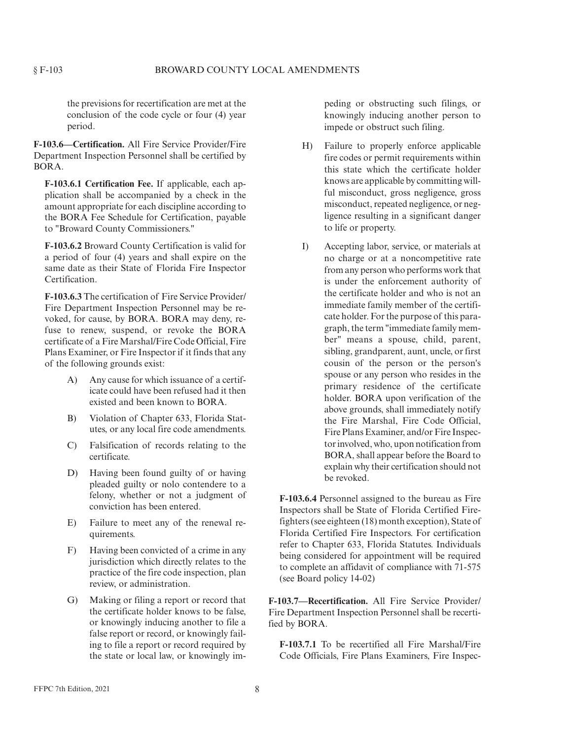the previsions for recertification are met at the conclusion of the code cycle or four (4) year period.

**F-103.6—Certification.** All Fire Service Provider/Fire Department Inspection Personnel shall be certified by BORA.

**F-103.6.1 Certification Fee.** If applicable, each application shall be accompanied by a check in the amount appropriate for each discipline according to the BORA Fee Schedule for Certification, payable to "Broward County Commissioners."

**F-103.6.2** Broward County Certification is valid for a period of four (4) years and shall expire on the same date as their State of Florida Fire Inspector Certification.

**F-103.6.3** The certification of Fire Service Provider/ Fire Department Inspection Personnel may be revoked, for cause, by BORA. BORA may deny, refuse to renew, suspend, or revoke the BORA certificate of a Fire Marshal/Fire Code Official, Fire Plans Examiner, or Fire Inspector if it finds that any of the following grounds exist:

- A) Any cause for which issuance of a certificate could have been refused had it then existed and been known to BORA.
- B) Violation of Chapter 633, Florida Statutes, or any local fire code amendments.
- C) Falsification of records relating to the certificate.
- D) Having been found guilty of or having pleaded guilty or nolo contendere to a felony, whether or not a judgment of conviction has been entered.
- E) Failure to meet any of the renewal requirements.
- F) Having been convicted of a crime in any jurisdiction which directly relates to the practice of the fire code inspection, plan review, or administration.
- G) Making or filing a report or record that the certificate holder knows to be false, or knowingly inducing another to file a false report or record, or knowingly failing to file a report or record required by the state or local law, or knowingly im-

peding or obstructing such filings, or knowingly inducing another person to impede or obstruct such filing.

- H) Failure to properly enforce applicable fire codes or permit requirements within this state which the certificate holder knows are applicable by committing willful misconduct, gross negligence, gross misconduct, repeated negligence, or negligence resulting in a significant danger to life or property.
- I) Accepting labor, service, or materials at no charge or at a noncompetitive rate from any person who performs work that is under the enforcement authority of the certificate holder and who is not an immediate family member of the certificate holder. For the purpose of this paragraph, the term "immediate family member" means a spouse, child, parent, sibling, grandparent, aunt, uncle, or first cousin of the person or the person's spouse or any person who resides in the primary residence of the certificate holder. BORA upon verification of the above grounds, shall immediately notify the Fire Marshal, Fire Code Official, Fire Plans Examiner, and/or Fire Inspector involved, who, upon notification from BORA, shall appear before the Board to explain why their certification should not be revoked.

**F-103.6.4** Personnel assigned to the bureau as Fire Inspectors shall be State of Florida Certified Firefighters (see eighteen (18) month exception), State of Florida Certified Fire Inspectors. For certification refer to Chapter 633, Florida Statutes. Individuals being considered for appointment will be required to complete an affidavit of compliance with 71-575 (see Board policy 14-02)

**F-103.7—Recertification.** All Fire Service Provider/ Fire Department Inspection Personnel shall be recertified by BORA.

**F-103.7.1** To be recertified all Fire Marshal/Fire Code Officials, Fire Plans Examiners, Fire Inspec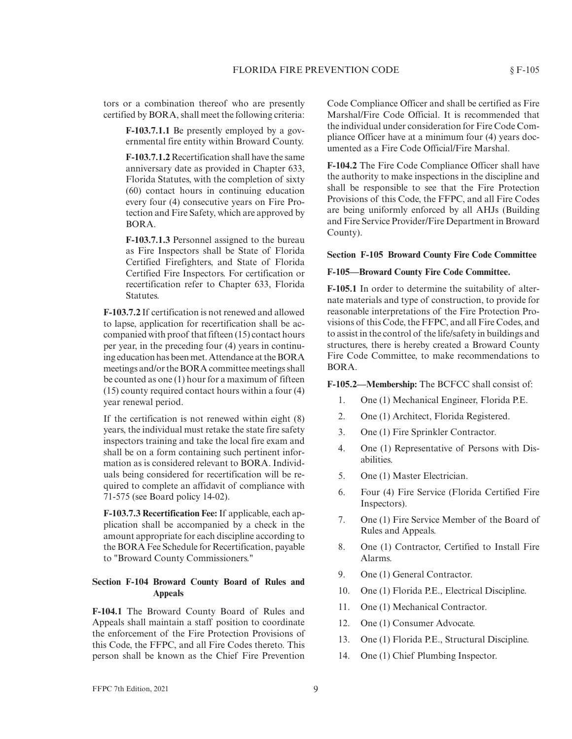tors or a combination thereof who are presently certified by BORA, shall meet the following criteria:

> **F-103.7.1.1** Be presently employed by a governmental fire entity within Broward County.

> **F-103.7.1.2** Recertification shall have the same anniversary date as provided in Chapter 633, Florida Statutes, with the completion of sixty (60) contact hours in continuing education every four (4) consecutive years on Fire Protection and Fire Safety, which are approved by BORA.

> **F-103.7.1.3** Personnel assigned to the bureau as Fire Inspectors shall be State of Florida Certified Firefighters, and State of Florida Certified Fire Inspectors. For certification or recertification refer to Chapter 633, Florida Statutes.

**F-103.7.2** If certification is not renewed and allowed to lapse, application for recertification shall be accompanied with proof that fifteen (15) contact hours per year, in the preceding four (4) years in continuing education has been met. Attendance at the BORA meetings and/or the BORA committee meetings shall be counted as one (1) hour for a maximum of fifteen (15) county required contact hours within a four (4) year renewal period.

If the certification is not renewed within eight (8) years, the individual must retake the state fire safety inspectors training and take the local fire exam and shall be on a form containing such pertinent information as is considered relevant to BORA. Individuals being considered for recertification will be required to complete an affidavit of compliance with 71-575 (see Board policy 14-02).

**F-103.7.3 Recertification Fee:** If applicable, each application shall be accompanied by a check in the amount appropriate for each discipline according to the BORA Fee Schedule for Recertification, payable to "Broward County Commissioners."

#### **Section F-104 Broward County Board of Rules and Appeals**

**F-104.1** The Broward County Board of Rules and Appeals shall maintain a staff position to coordinate the enforcement of the Fire Protection Provisions of this Code, the FFPC, and all Fire Codes thereto. This person shall be known as the Chief Fire Prevention

Code Compliance Officer and shall be certified as Fire Marshal/Fire Code Official. It is recommended that the individual under consideration for Fire Code Compliance Officer have at a minimum four (4) years documented as a Fire Code Official/Fire Marshal.

**F-104.2** The Fire Code Compliance Officer shall have the authority to make inspections in the discipline and shall be responsible to see that the Fire Protection Provisions of this Code, the FFPC, and all Fire Codes are being uniformly enforced by all AHJs (Building and Fire Service Provider/Fire Department in Broward County).

#### **Section F-105 Broward County Fire Code Committee**

#### **F-105—Broward County Fire Code Committee.**

**F-105.1** In order to determine the suitability of alternate materials and type of construction, to provide for reasonable interpretations of the Fire Protection Provisions of this Code, the FFPC, and all Fire Codes, and to assist in the control of the life/safety in buildings and structures, there is hereby created a Broward County Fire Code Committee, to make recommendations to BORA.

# **F-105.2—Membership:** The BCFCC shall consist of:

- 1. One (1) Mechanical Engineer, Florida P.E.
- 2. One (1) Architect, Florida Registered.
- 3. One (1) Fire Sprinkler Contractor.
- 4. One (1) Representative of Persons with Disabilities.
- 5. One (1) Master Electrician.
- 6. Four (4) Fire Service (Florida Certified Fire Inspectors).
- 7. One (1) Fire Service Member of the Board of Rules and Appeals.
- 8. One (1) Contractor, Certified to Install Fire Alarms.
- 9. One (1) General Contractor.
- 10. One (1) Florida P.E., Electrical Discipline.
- 11. One (1) Mechanical Contractor.
- 12. One (1) Consumer Advocate.
- 13. One (1) Florida P.E., Structural Discipline.
- 14. One (1) Chief Plumbing Inspector.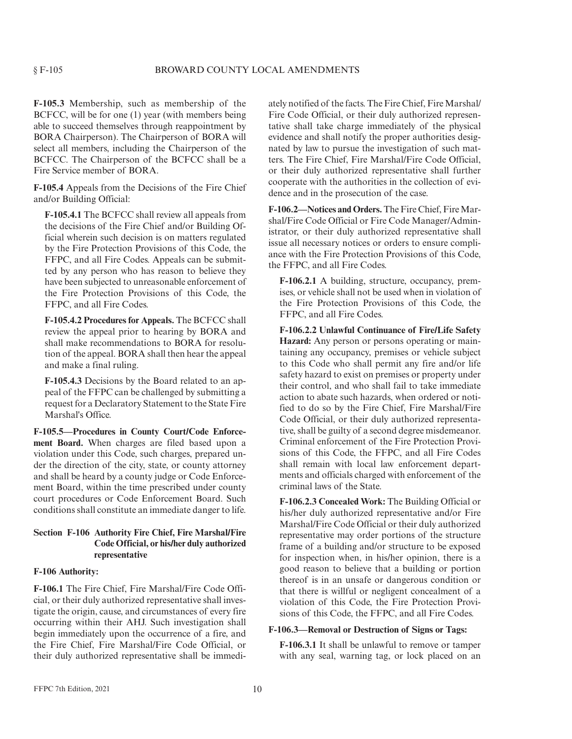**F-105.3** Membership, such as membership of the BCFCC, will be for one (1) year (with members being able to succeed themselves through reappointment by BORA Chairperson). The Chairperson of BORA will select all members, including the Chairperson of the BCFCC. The Chairperson of the BCFCC shall be a Fire Service member of BORA.

**F-105.4** Appeals from the Decisions of the Fire Chief and/or Building Official:

**F-105.4.1** The BCFCC shall review all appeals from the decisions of the Fire Chief and/or Building Official wherein such decision is on matters regulated by the Fire Protection Provisions of this Code, the FFPC, and all Fire Codes. Appeals can be submitted by any person who has reason to believe they have been subjected to unreasonable enforcement of the Fire Protection Provisions of this Code, the FFPC, and all Fire Codes.

**F-105.4.2 Procedures for Appeals.** The BCFCC shall review the appeal prior to hearing by BORA and shall make recommendations to BORA for resolution of the appeal. BORA shall then hear the appeal and make a final ruling.

**F-105.4.3** Decisions by the Board related to an appeal of the FFPC can be challenged by submitting a request for a Declaratory Statement to the State Fire Marshal's Office.

**F-105.5—Procedures in County Court/Code Enforcement Board.** When charges are filed based upon a violation under this Code, such charges, prepared under the direction of the city, state, or county attorney and shall be heard by a county judge or Code Enforcement Board, within the time prescribed under county court procedures or Code Enforcement Board. Such conditions shall constitute an immediate danger to life.

# **Section F-106 Authority Fire Chief, Fire Marshal/Fire Code Official, or his/her duly authorized representative**

#### **F-106 Authority:**

**F-106.1** The Fire Chief, Fire Marshal/Fire Code Official, or their duly authorized representative shall investigate the origin, cause, and circumstances of every fire occurring within their AHJ. Such investigation shall begin immediately upon the occurrence of a fire, and the Fire Chief, Fire Marshal/Fire Code Official, or their duly authorized representative shall be immediately notified of the facts. The Fire Chief, Fire Marshal/ Fire Code Official, or their duly authorized representative shall take charge immediately of the physical evidence and shall notify the proper authorities designated by law to pursue the investigation of such matters. The Fire Chief, Fire Marshal/Fire Code Official, or their duly authorized representative shall further cooperate with the authorities in the collection of evidence and in the prosecution of the case.

F-106.2—Notices and Orders. The Fire Chief, Fire Marshal/Fire Code Official or Fire Code Manager/Administrator, or their duly authorized representative shall issue all necessary notices or orders to ensure compliance with the Fire Protection Provisions of this Code, the FFPC, and all Fire Codes.

**F-106.2.1** A building, structure, occupancy, premises, or vehicle shall not be used when in violation of the Fire Protection Provisions of this Code, the FFPC, and all Fire Codes.

**F-106.2.2 Unlawful Continuance of Fire/Life Safety Hazard:** Any person or persons operating or maintaining any occupancy, premises or vehicle subject to this Code who shall permit any fire and/or life safety hazard to exist on premises or property under their control, and who shall fail to take immediate action to abate such hazards, when ordered or notified to do so by the Fire Chief, Fire Marshal/Fire Code Official, or their duly authorized representative, shall be guilty of a second degree misdemeanor. Criminal enforcement of the Fire Protection Provisions of this Code, the FFPC, and all Fire Codes shall remain with local law enforcement departments and officials charged with enforcement of the criminal laws of the State.

**F-106.2.3 Concealed Work:** The Building Official or his/her duly authorized representative and/or Fire Marshal/Fire Code Official or their duly authorized representative may order portions of the structure frame of a building and/or structure to be exposed for inspection when, in his/her opinion, there is a good reason to believe that a building or portion thereof is in an unsafe or dangerous condition or that there is willful or negligent concealment of a violation of this Code, the Fire Protection Provisions of this Code, the FFPC, and all Fire Codes.

#### **F-106.3—Removal or Destruction of Signs or Tags:**

**F-106.3.1** It shall be unlawful to remove or tamper with any seal, warning tag, or lock placed on an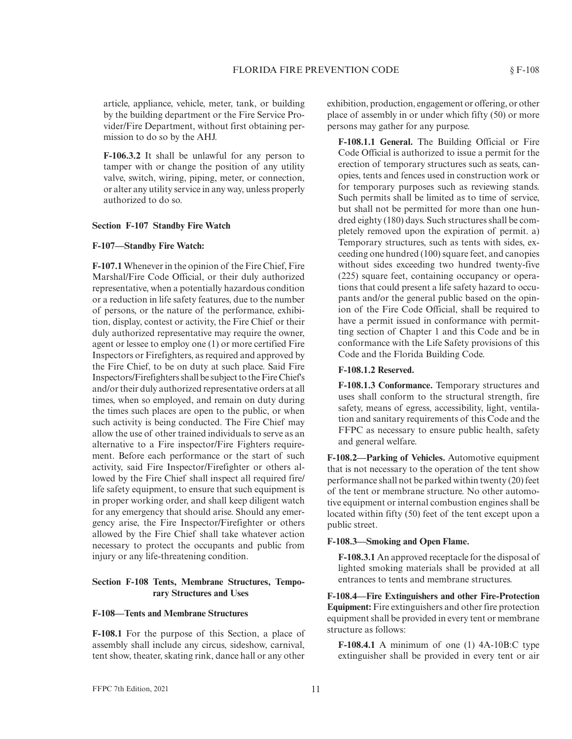article, appliance, vehicle, meter, tank, or building by the building department or the Fire Service Provider/Fire Department, without first obtaining permission to do so by the AHJ.

**F-106.3.2** It shall be unlawful for any person to tamper with or change the position of any utility valve, switch, wiring, piping, meter, or connection, or alter any utility service in any way, unless properly authorized to do so.

#### **Section F-107 Standby Fire Watch**

#### **F-107—Standby Fire Watch:**

**F-107.1** Whenever in the opinion of the Fire Chief, Fire Marshal/Fire Code Official, or their duly authorized representative, when a potentially hazardous condition or a reduction in life safety features, due to the number of persons, or the nature of the performance, exhibition, display, contest or activity, the Fire Chief or their duly authorized representative may require the owner, agent or lessee to employ one (1) or more certified Fire Inspectors or Firefighters, as required and approved by the Fire Chief, to be on duty at such place. Said Fire Inspectors/Firefighters shall be subject to the Fire Chief's and/or their duly authorized representative orders at all times, when so employed, and remain on duty during the times such places are open to the public, or when such activity is being conducted. The Fire Chief may allow the use of other trained individuals to serve as an alternative to a Fire inspector/Fire Fighters requirement. Before each performance or the start of such activity, said Fire Inspector/Firefighter or others allowed by the Fire Chief shall inspect all required fire/ life safety equipment, to ensure that such equipment is in proper working order, and shall keep diligent watch for any emergency that should arise. Should any emergency arise, the Fire Inspector/Firefighter or others allowed by the Fire Chief shall take whatever action necessary to protect the occupants and public from injury or any life-threatening condition.

#### **Section F-108 Tents, Membrane Structures, Temporary Structures and Uses**

#### **F-108—Tents and Membrane Structures**

**F-108.1** For the purpose of this Section, a place of assembly shall include any circus, sideshow, carnival, tent show, theater, skating rink, dance hall or any other exhibition, production, engagement or offering, or other place of assembly in or under which fifty (50) or more persons may gather for any purpose.

**F-108.1.1 General.** The Building Official or Fire Code Official is authorized to issue a permit for the erection of temporary structures such as seats, canopies, tents and fences used in construction work or for temporary purposes such as reviewing stands. Such permits shall be limited as to time of service, but shall not be permitted for more than one hundred eighty (180) days. Such structures shall be completely removed upon the expiration of permit. a) Temporary structures, such as tents with sides, exceeding one hundred (100) square feet, and canopies without sides exceeding two hundred twenty-five (225) square feet, containing occupancy or operations that could present a life safety hazard to occupants and/or the general public based on the opinion of the Fire Code Official, shall be required to have a permit issued in conformance with permitting section of Chapter 1 and this Code and be in conformance with the Life Safety provisions of this Code and the Florida Building Code.

# **F-108.1.2 Reserved.**

**F-108.1.3 Conformance.** Temporary structures and uses shall conform to the structural strength, fire safety, means of egress, accessibility, light, ventilation and sanitary requirements of this Code and the FFPC as necessary to ensure public health, safety and general welfare.

**F-108.2—Parking of Vehicles.** Automotive equipment that is not necessary to the operation of the tent show performance shall not be parked within twenty (20) feet of the tent or membrane structure. No other automotive equipment or internal combustion engines shall be located within fifty (50) feet of the tent except upon a public street.

#### **F-108.3—Smoking and Open Flame.**

**F-108.3.1** An approved receptacle for the disposal of lighted smoking materials shall be provided at all entrances to tents and membrane structures.

**F-108.4—Fire Extinguishers and other Fire-Protection Equipment:** Fire extinguishers and other fire protection equipment shall be provided in every tent or membrane structure as follows:

**F-108.4.1** A minimum of one (1) 4A-10B:C type extinguisher shall be provided in every tent or air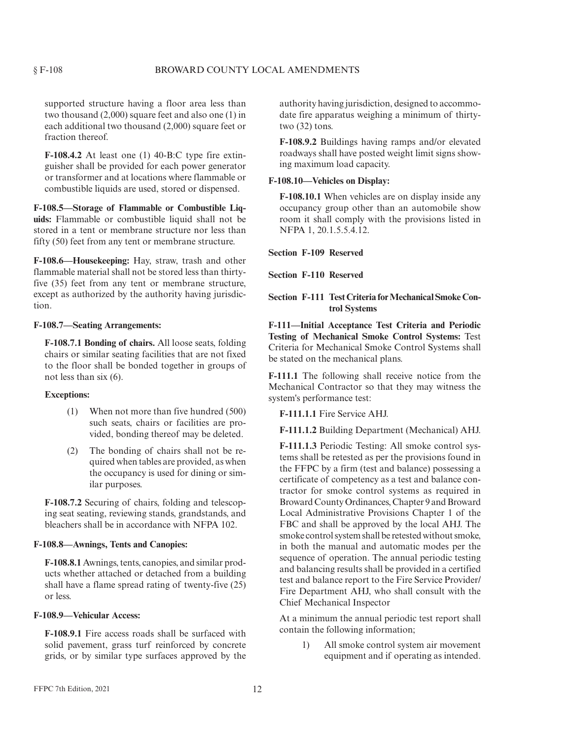supported structure having a floor area less than two thousand (2,000) square feet and also one (1) in each additional two thousand (2,000) square feet or fraction thereof.

**F-108.4.2** At least one (1) 40-B:C type fire extinguisher shall be provided for each power generator or transformer and at locations where flammable or combustible liquids are used, stored or dispensed.

**F-108.5—Storage of Flammable or Combustible Liquids:** Flammable or combustible liquid shall not be stored in a tent or membrane structure nor less than fifty (50) feet from any tent or membrane structure.

**F-108.6—Housekeeping:** Hay, straw, trash and other flammable material shall not be stored less than thirtyfive (35) feet from any tent or membrane structure, except as authorized by the authority having jurisdiction.

#### **F-108.7—Seating Arrangements:**

**F-108.7.1 Bonding of chairs.** All loose seats, folding chairs or similar seating facilities that are not fixed to the floor shall be bonded together in groups of not less than six (6).

#### **Exceptions:**

- (1) When not more than five hundred (500) such seats, chairs or facilities are provided, bonding thereof may be deleted.
- (2) The bonding of chairs shall not be required when tables are provided, as when the occupancy is used for dining or similar purposes.

**F-108.7.2** Securing of chairs, folding and telescoping seat seating, reviewing stands, grandstands, and bleachers shall be in accordance with NFPA 102.

#### **F-108.8—Awnings, Tents and Canopies:**

**F-108.8.1** Awnings, tents, canopies, and similar products whether attached or detached from a building shall have a flame spread rating of twenty-five (25) or less.

# **F-108.9—Vehicular Access:**

**F-108.9.1** Fire access roads shall be surfaced with solid pavement, grass turf reinforced by concrete grids, or by similar type surfaces approved by the authority having jurisdiction, designed to accommodate fire apparatus weighing a minimum of thirtytwo (32) tons.

**F-108.9.2** Buildings having ramps and/or elevated roadways shall have posted weight limit signs showing maximum load capacity.

#### **F-108.10—Vehicles on Display:**

**F-108.10.1** When vehicles are on display inside any occupancy group other than an automobile show room it shall comply with the provisions listed in NFPA 1, 20.1.5.5.4.12.

**Section F-109 Reserved**

**Section F-110 Reserved**

# **Section F-111 Test Criteria for Mechanical Smoke Control Systems**

**F-111—Initial Acceptance Test Criteria and Periodic Testing of Mechanical Smoke Control Systems:** Test Criteria for Mechanical Smoke Control Systems shall be stated on the mechanical plans.

**F-111.1** The following shall receive notice from the Mechanical Contractor so that they may witness the system's performance test:

**F-111.1.1** Fire Service AHJ.

**F-111.1.2** Building Department (Mechanical) AHJ.

**F-111.1.3** Periodic Testing: All smoke control systems shall be retested as per the provisions found in the FFPC by a firm (test and balance) possessing a certificate of competency as a test and balance contractor for smoke control systems as required in Broward County Ordinances, Chapter 9 and Broward Local Administrative Provisions Chapter 1 of the FBC and shall be approved by the local AHJ. The smoke control system shall be retested without smoke, in both the manual and automatic modes per the sequence of operation. The annual periodic testing and balancing results shall be provided in a certified test and balance report to the Fire Service Provider/ Fire Department AHJ, who shall consult with the Chief Mechanical Inspector

At a minimum the annual periodic test report shall contain the following information;

> 1) All smoke control system air movement equipment and if operating as intended.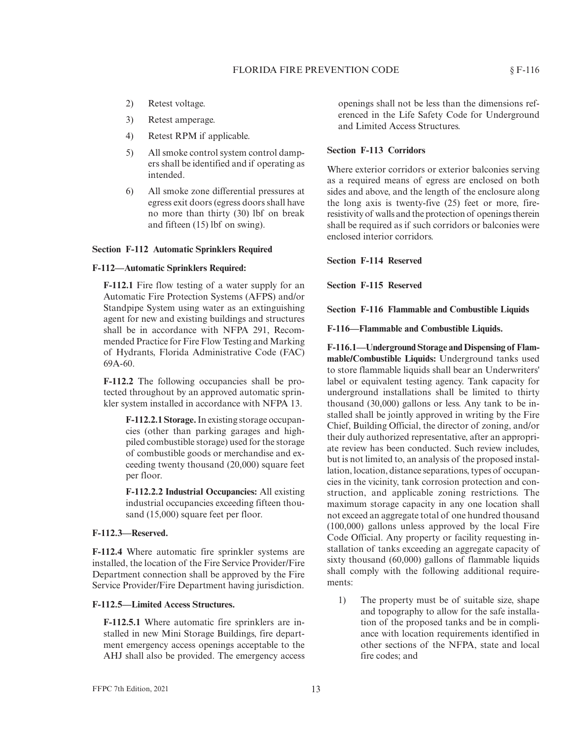- 2) Retest voltage.
- 3) Retest amperage.
- 4) Retest RPM if applicable.
- 5) All smoke control system control dampers shall be identified and if operating as intended.
- 6) All smoke zone differential pressures at egress exit doors (egress doors shall have no more than thirty (30) lbf on break and fifteen (15) lbf on swing).

#### **Section F-112 Automatic Sprinklers Required**

#### **F-112—Automatic Sprinklers Required:**

**F-112.1** Fire flow testing of a water supply for an Automatic Fire Protection Systems (AFPS) and/or Standpipe System using water as an extinguishing agent for new and existing buildings and structures shall be in accordance with NFPA 291, Recommended Practice for Fire Flow Testing and Marking of Hydrants, Florida Administrative Code (FAC) 69A-60.

**F-112.2** The following occupancies shall be protected throughout by an approved automatic sprinkler system installed in accordance with NFPA 13.

> **F-112.2.1 Storage.**In existing storage occupancies (other than parking garages and highpiled combustible storage) used for the storage of combustible goods or merchandise and exceeding twenty thousand (20,000) square feet per floor.

> **F-112.2.2 Industrial Occupancies:** All existing industrial occupancies exceeding fifteen thousand (15,000) square feet per floor.

#### **F-112.3—Reserved.**

**F-112.4** Where automatic fire sprinkler systems are installed, the location of the Fire Service Provider/Fire Department connection shall be approved by the Fire Service Provider/Fire Department having jurisdiction.

#### **F-112.5—Limited Access Structures.**

**F-112.5.1** Where automatic fire sprinklers are installed in new Mini Storage Buildings, fire department emergency access openings acceptable to the AHJ shall also be provided. The emergency access openings shall not be less than the dimensions referenced in the Life Safety Code for Underground and Limited Access Structures.

# **Section F-113 Corridors**

Where exterior corridors or exterior balconies serving as a required means of egress are enclosed on both sides and above, and the length of the enclosure along the long axis is twenty-five (25) feet or more, fireresistivity of walls and the protection of openings therein shall be required as if such corridors or balconies were enclosed interior corridors.

#### **Section F-114 Reserved**

**Section F-115 Reserved**

**Section F-116 Flammable and Combustible Liquids**

**F-116—Flammable and Combustible Liquids.**

**F-116.1—Underground Storage and Dispensing of Flammable/Combustible Liquids:** Underground tanks used to store flammable liquids shall bear an Underwriters' label or equivalent testing agency. Tank capacity for underground installations shall be limited to thirty thousand (30,000) gallons or less. Any tank to be installed shall be jointly approved in writing by the Fire Chief, Building Official, the director of zoning, and/or their duly authorized representative, after an appropriate review has been conducted. Such review includes, but is not limited to, an analysis of the proposed installation, location, distance separations, types of occupancies in the vicinity, tank corrosion protection and construction, and applicable zoning restrictions. The maximum storage capacity in any one location shall not exceed an aggregate total of one hundred thousand (100,000) gallons unless approved by the local Fire Code Official. Any property or facility requesting installation of tanks exceeding an aggregate capacity of sixty thousand (60,000) gallons of flammable liquids shall comply with the following additional requirements:

1) The property must be of suitable size, shape and topography to allow for the safe installation of the proposed tanks and be in compliance with location requirements identified in other sections of the NFPA, state and local fire codes; and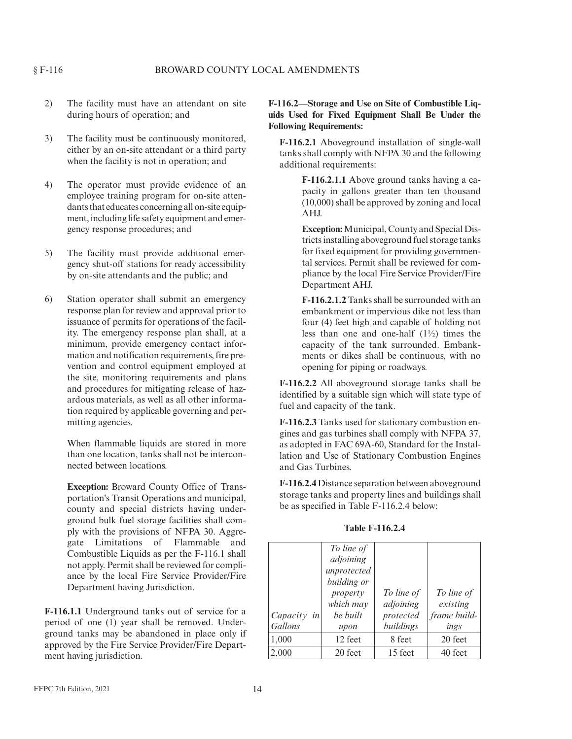- 2) The facility must have an attendant on site during hours of operation; and
- 3) The facility must be continuously monitored, either by an on-site attendant or a third party when the facility is not in operation; and
- 4) The operator must provide evidence of an employee training program for on-site attendants that educates concerning all on-site equipment, including life safety equipment and emergency response procedures; and
- 5) The facility must provide additional emergency shut-off stations for ready accessibility by on-site attendants and the public; and
- 6) Station operator shall submit an emergency response plan for review and approval prior to issuance of permits for operations of the facility. The emergency response plan shall, at a minimum, provide emergency contact information and notification requirements, fire prevention and control equipment employed at the site, monitoring requirements and plans and procedures for mitigating release of hazardous materials, as well as all other information required by applicable governing and permitting agencies.

When flammable liquids are stored in more than one location, tanks shall not be interconnected between locations.

**Exception:** Broward County Office of Transportation's Transit Operations and municipal, county and special districts having underground bulk fuel storage facilities shall comply with the provisions of NFPA 30. Aggregate Limitations of Flammable and Combustible Liquids as per the F-116.1 shall not apply. Permit shall be reviewed for compliance by the local Fire Service Provider/Fire Department having Jurisdiction.

**F-116.1.1** Underground tanks out of service for a period of one (1) year shall be removed. Underground tanks may be abandoned in place only if approved by the Fire Service Provider/Fire Department having jurisdiction.

# **F-116.2—Storage and Use on Site of Combustible Liquids Used for Fixed Equipment Shall Be Under the Following Requirements:**

**F-116.2.1** Aboveground installation of single-wall tanks shall comply with NFPA 30 and the following additional requirements:

> **F-116.2.1.1** Above ground tanks having a capacity in gallons greater than ten thousand (10,000) shall be approved by zoning and local AHJ.

> **Exception:**Municipal, County and Special Districts installing aboveground fuel storage tanks for fixed equipment for providing governmental services. Permit shall be reviewed for compliance by the local Fire Service Provider/Fire Department AHJ.

> **F-116.2.1.2** Tanks shall be surrounded with an embankment or impervious dike not less than four (4) feet high and capable of holding not less than one and one-half (1½) times the capacity of the tank surrounded. Embankments or dikes shall be continuous, with no opening for piping or roadways.

**F-116.2.2** All aboveground storage tanks shall be identified by a suitable sign which will state type of fuel and capacity of the tank.

**F-116.2.3** Tanks used for stationary combustion engines and gas turbines shall comply with NFPA 37, as adopted in FAC 69A-60, Standard for the Installation and Use of Stationary Combustion Engines and Gas Turbines.

**F-116.2.4** Distance separation between aboveground storage tanks and property lines and buildings shall be as specified in Table F-116.2.4 below:

|               | To line of  |            |              |
|---------------|-------------|------------|--------------|
|               | adjoining   |            |              |
|               | unprotected |            |              |
|               | building or |            |              |
|               | property    | To line of | To line of   |
|               | which may   | adjoining  | existing     |
| $Capacity$ in | be built    | protected  | frame build- |
| Gallons       | upon        | buildings  | ings         |
| 1,000         | 12 feet     | 8 feet     | 20 feet      |
| 2,000         | 20 feet     | 15 feet    | 40 feet      |

**Table F-116.2.4**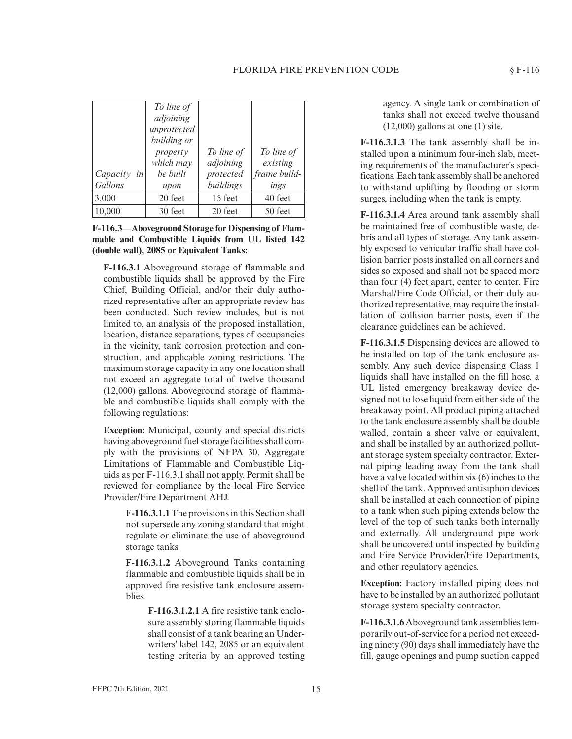#### FLORIDA FIRE PREVENTION CODE \§F-116

| $Capacity$ in<br>Gallons | To line of<br>adjoining<br>unprotected<br>building or<br>property<br>which may<br>be built<br>upon | To line of<br>adjoining<br>protected<br>buildings | To line of<br>existing<br>frame build-<br>ings |
|--------------------------|----------------------------------------------------------------------------------------------------|---------------------------------------------------|------------------------------------------------|
| 3,000                    | 20 feet                                                                                            | 15 feet                                           | 40 feet                                        |
| 10,000                   | 30 feet                                                                                            | 20 feet                                           | 50 feet                                        |

**F-116.3—Aboveground Storage for Dispensing of Flammable and Combustible Liquids from UL listed 142 (double wall), 2085 or Equivalent Tanks:**

**F-116.3.1** Aboveground storage of flammable and combustible liquids shall be approved by the Fire Chief, Building Official, and/or their duly authorized representative after an appropriate review has been conducted. Such review includes, but is not limited to, an analysis of the proposed installation, location, distance separations, types of occupancies in the vicinity, tank corrosion protection and construction, and applicable zoning restrictions. The maximum storage capacity in any one location shall not exceed an aggregate total of twelve thousand (12,000) gallons. Aboveground storage of flammable and combustible liquids shall comply with the following regulations:

**Exception:** Municipal, county and special districts having aboveground fuel storage facilities shall comply with the provisions of NFPA 30. Aggregate Limitations of Flammable and Combustible Liquids as per F-116.3.1 shall not apply. Permit shall be reviewed for compliance by the local Fire Service Provider/Fire Department AHJ.

> **F-116.3.1.1**The provisions in this Section shall not supersede any zoning standard that might regulate or eliminate the use of aboveground storage tanks.

> **F-116.3.1.2** Aboveground Tanks containing flammable and combustible liquids shall be in approved fire resistive tank enclosure assemblies.

> > **F-116.3.1.2.1** A fire resistive tank enclosure assembly storing flammable liquids shall consist of a tank bearing an Underwriters' label 142, 2085 or an equivalent testing criteria by an approved testing

agency. A single tank or combination of tanks shall not exceed twelve thousand  $(12,000)$  gallons at one  $(1)$  site.

**F-116.3.1.3** The tank assembly shall be installed upon a minimum four-inch slab, meeting requirements of the manufacturer's specifications. Each tank assembly shall be anchored to withstand uplifting by flooding or storm surges, including when the tank is empty.

**F-116.3.1.4** Area around tank assembly shall be maintained free of combustible waste, debris and all types of storage. Any tank assembly exposed to vehicular traffic shall have collision barrier posts installed on all corners and sides so exposed and shall not be spaced more than four (4) feet apart, center to center. Fire Marshal/Fire Code Official, or their duly authorized representative, may require the installation of collision barrier posts, even if the clearance guidelines can be achieved.

**F-116.3.1.5** Dispensing devices are allowed to be installed on top of the tank enclosure assembly. Any such device dispensing Class 1 liquids shall have installed on the fill hose, a UL listed emergency breakaway device designed not to lose liquid from either side of the breakaway point. All product piping attached to the tank enclosure assembly shall be double walled, contain a sheer valve or equivalent, and shall be installed by an authorized pollutant storage system specialty contractor. External piping leading away from the tank shall have a valve located within six (6) inches to the shell of the tank. Approved antisiphon devices shall be installed at each connection of piping to a tank when such piping extends below the level of the top of such tanks both internally and externally. All underground pipe work shall be uncovered until inspected by building and Fire Service Provider/Fire Departments, and other regulatory agencies.

**Exception:** Factory installed piping does not have to be installed by an authorized pollutant storage system specialty contractor.

**F-116.3.1.6**Aboveground tank assemblies temporarily out-of-service for a period not exceeding ninety (90) days shall immediately have the fill, gauge openings and pump suction capped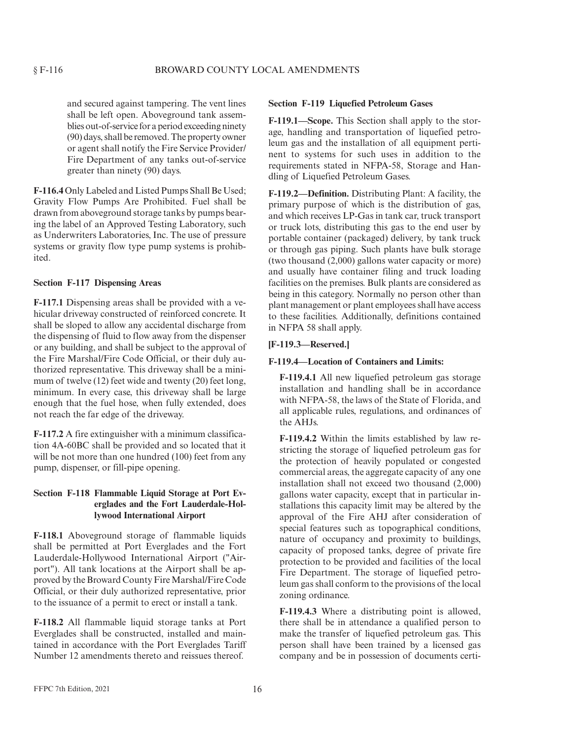and secured against tampering. The vent lines shall be left open. Aboveground tank assemblies out-of-service for a period exceeding ninety (90) days, shall be removed. The property owner or agent shall notify the Fire Service Provider/ Fire Department of any tanks out-of-service greater than ninety (90) days.

**F-116.4** Only Labeled and Listed Pumps Shall Be Used; Gravity Flow Pumps Are Prohibited. Fuel shall be drawn from aboveground storage tanks by pumps bearing the label of an Approved Testing Laboratory, such as Underwriters Laboratories, Inc. The use of pressure systems or gravity flow type pump systems is prohibited.

#### **Section F-117 Dispensing Areas**

**F-117.1** Dispensing areas shall be provided with a vehicular driveway constructed of reinforced concrete. It shall be sloped to allow any accidental discharge from the dispensing of fluid to flow away from the dispenser or any building, and shall be subject to the approval of the Fire Marshal/Fire Code Official, or their duly authorized representative. This driveway shall be a minimum of twelve (12) feet wide and twenty (20) feet long, minimum. In every case, this driveway shall be large enough that the fuel hose, when fully extended, does not reach the far edge of the driveway.

**F-117.2** A fire extinguisher with a minimum classification 4A-60BC shall be provided and so located that it will be not more than one hundred (100) feet from any pump, dispenser, or fill-pipe opening.

# **Section F-118 Flammable Liquid Storage at Port Everglades and the Fort Lauderdale-Hollywood International Airport**

**F-118.1** Aboveground storage of flammable liquids shall be permitted at Port Everglades and the Fort Lauderdale-Hollywood International Airport ("Airport"). All tank locations at the Airport shall be approved by the Broward County Fire Marshal/Fire Code Official, or their duly authorized representative, prior to the issuance of a permit to erect or install a tank.

**F-118.2** All flammable liquid storage tanks at Port Everglades shall be constructed, installed and maintained in accordance with the Port Everglades Tariff Number 12 amendments thereto and reissues thereof.

#### **Section F-119 Liquefied Petroleum Gases**

**F-119.1—Scope.** This Section shall apply to the storage, handling and transportation of liquefied petroleum gas and the installation of all equipment pertinent to systems for such uses in addition to the requirements stated in NFPA-58, Storage and Handling of Liquefied Petroleum Gases.

**F-119.2—Definition.** Distributing Plant: A facility, the primary purpose of which is the distribution of gas, and which receives LP-Gas in tank car, truck transport or truck lots, distributing this gas to the end user by portable container (packaged) delivery, by tank truck or through gas piping. Such plants have bulk storage (two thousand (2,000) gallons water capacity or more) and usually have container filing and truck loading facilities on the premises. Bulk plants are considered as being in this category. Normally no person other than plant management or plant employees shall have access to these facilities. Additionally, definitions contained in NFPA 58 shall apply.

#### **[F-119.3—Reserved.]**

#### **F-119.4—Location of Containers and Limits:**

**F-119.4.1** All new liquefied petroleum gas storage installation and handling shall be in accordance with NFPA-58, the laws of the State of Florida, and all applicable rules, regulations, and ordinances of the AHJs.

**F-119.4.2** Within the limits established by law restricting the storage of liquefied petroleum gas for the protection of heavily populated or congested commercial areas, the aggregate capacity of any one installation shall not exceed two thousand (2,000) gallons water capacity, except that in particular installations this capacity limit may be altered by the approval of the Fire AHJ after consideration of special features such as topographical conditions, nature of occupancy and proximity to buildings, capacity of proposed tanks, degree of private fire protection to be provided and facilities of the local Fire Department. The storage of liquefied petroleum gas shall conform to the provisions of the local zoning ordinance.

**F-119.4.3** Where a distributing point is allowed, there shall be in attendance a qualified person to make the transfer of liquefied petroleum gas. This person shall have been trained by a licensed gas company and be in possession of documents certi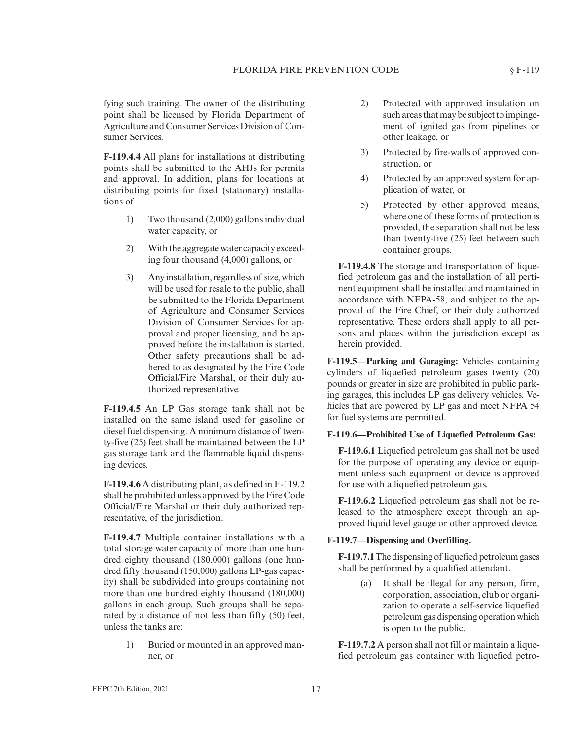fying such training. The owner of the distributing point shall be licensed by Florida Department of Agriculture and Consumer Services Division of Consumer Services.

**F-119.4.4** All plans for installations at distributing points shall be submitted to the AHJs for permits and approval. In addition, plans for locations at distributing points for fixed (stationary) installations of

- 1) Two thousand (2,000) gallons individual water capacity, or
- 2) With the aggregate water capacity exceeding four thousand (4,000) gallons, or
- 3) Any installation, regardless of size, which will be used for resale to the public, shall be submitted to the Florida Department of Agriculture and Consumer Services Division of Consumer Services for approval and proper licensing, and be approved before the installation is started. Other safety precautions shall be adhered to as designated by the Fire Code Official/Fire Marshal, or their duly authorized representative.

**F-119.4.5** An LP Gas storage tank shall not be installed on the same island used for gasoline or diesel fuel dispensing. A minimum distance of twenty-five (25) feet shall be maintained between the LP gas storage tank and the flammable liquid dispensing devices.

**F-119.4.6** A distributing plant, as defined in F-119.2 shall be prohibited unless approved by the Fire Code Official/Fire Marshal or their duly authorized representative, of the jurisdiction.

**F-119.4.7** Multiple container installations with a total storage water capacity of more than one hundred eighty thousand (180,000) gallons (one hundred fifty thousand (150,000) gallons LP-gas capacity) shall be subdivided into groups containing not more than one hundred eighty thousand (180,000) gallons in each group. Such groups shall be separated by a distance of not less than fifty (50) feet, unless the tanks are:

> 1) Buried or mounted in an approved manner, or

- 2) Protected with approved insulation on such areas that may be subject to impingement of ignited gas from pipelines or other leakage, or
- 3) Protected by fire-walls of approved construction, or
- 4) Protected by an approved system for application of water, or
- 5) Protected by other approved means, where one of these forms of protection is provided, the separation shall not be less than twenty-five (25) feet between such container groups.

**F-119.4.8** The storage and transportation of liquefied petroleum gas and the installation of all pertinent equipment shall be installed and maintained in accordance with NFPA-58, and subject to the approval of the Fire Chief, or their duly authorized representative. These orders shall apply to all persons and places within the jurisdiction except as herein provided.

**F-119.5—Parking and Garaging:** Vehicles containing cylinders of liquefied petroleum gases twenty (20) pounds or greater in size are prohibited in public parking garages, this includes LP gas delivery vehicles. Vehicles that are powered by LP gas and meet NFPA 54 for fuel systems are permitted.

#### **F-119.6—Prohibited Use of Liquefied Petroleum Gas:**

**F-119.6.1** Liquefied petroleum gas shall not be used for the purpose of operating any device or equipment unless such equipment or device is approved for use with a liquefied petroleum gas.

**F-119.6.2** Liquefied petroleum gas shall not be released to the atmosphere except through an approved liquid level gauge or other approved device.

#### **F-119.7—Dispensing and Overfilling.**

**F-119.7.1**The dispensing of liquefied petroleum gases shall be performed by a qualified attendant.

> (a) It shall be illegal for any person, firm, corporation, association, club or organization to operate a self-service liquefied petroleum gas dispensing operation which is open to the public.

**F-119.7.2** A person shall not fill or maintain a liquefied petroleum gas container with liquefied petro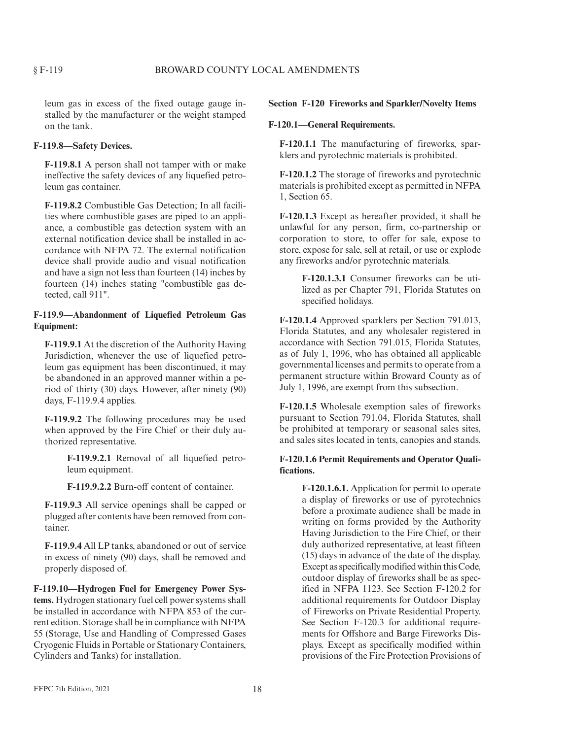leum gas in excess of the fixed outage gauge installed by the manufacturer or the weight stamped on the tank.

# **F-119.8—Safety Devices.**

**F-119.8.1** A person shall not tamper with or make ineffective the safety devices of any liquefied petroleum gas container.

**F-119.8.2** Combustible Gas Detection; In all facilities where combustible gases are piped to an appliance, a combustible gas detection system with an external notification device shall be installed in accordance with NFPA 72. The external notification device shall provide audio and visual notification and have a sign not less than fourteen (14) inches by fourteen (14) inches stating "combustible gas detected, call 911".

# **F-119.9—Abandonment of Liquefied Petroleum Gas Equipment:**

**F-119.9.1** At the discretion of the Authority Having Jurisdiction, whenever the use of liquefied petroleum gas equipment has been discontinued, it may be abandoned in an approved manner within a period of thirty (30) days. However, after ninety (90) days, F-119.9.4 applies.

**F-119.9.2** The following procedures may be used when approved by the Fire Chief or their duly authorized representative.

> **F-119.9.2.1** Removal of all liquefied petroleum equipment.

**F-119.9.2.2** Burn-off content of container.

**F-119.9.3** All service openings shall be capped or plugged after contents have been removed from container.

**F-119.9.4** All LP tanks, abandoned or out of service in excess of ninety (90) days, shall be removed and properly disposed of.

**F-119.10—Hydrogen Fuel for Emergency Power Systems.** Hydrogen stationary fuel cell power systems shall be installed in accordance with NFPA 853 of the current edition. Storage shall be in compliance with NFPA 55 (Storage, Use and Handling of Compressed Gases Cryogenic Fluids in Portable or Stationary Containers, Cylinders and Tanks) for installation.

#### **Section F-120 Fireworks and Sparkler/Novelty Items**

#### **F-120.1—General Requirements.**

**F-120.1.1** The manufacturing of fireworks, sparklers and pyrotechnic materials is prohibited.

**F-120.1.2** The storage of fireworks and pyrotechnic materials is prohibited except as permitted in NFPA 1, Section 65.

**F-120.1.3** Except as hereafter provided, it shall be unlawful for any person, firm, co-partnership or corporation to store, to offer for sale, expose to store, expose for sale, sell at retail, or use or explode any fireworks and/or pyrotechnic materials.

> **F-120.1.3.1** Consumer fireworks can be utilized as per Chapter 791, Florida Statutes on specified holidays.

**F-120.1.4** Approved sparklers per Section 791.013, Florida Statutes, and any wholesaler registered in accordance with Section 791.015, Florida Statutes, as of July 1, 1996, who has obtained all applicable governmental licenses and permits to operate from a permanent structure within Broward County as of July 1, 1996, are exempt from this subsection.

**F-120.1.5** Wholesale exemption sales of fireworks pursuant to Section 791.04, Florida Statutes, shall be prohibited at temporary or seasonal sales sites, and sales sites located in tents, canopies and stands.

#### **F-120.1.6 Permit Requirements and Operator Qualifications.**

**F-120.1.6.1.** Application for permit to operate a display of fireworks or use of pyrotechnics before a proximate audience shall be made in writing on forms provided by the Authority Having Jurisdiction to the Fire Chief, or their duly authorized representative, at least fifteen (15) days in advance of the date of the display. Except as specificallymodified within this Code, outdoor display of fireworks shall be as specified in NFPA 1123. See Section F-120.2 for additional requirements for Outdoor Display of Fireworks on Private Residential Property. See Section F-120.3 for additional requirements for Offshore and Barge Fireworks Displays. Except as specifically modified within provisions of the Fire Protection Provisions of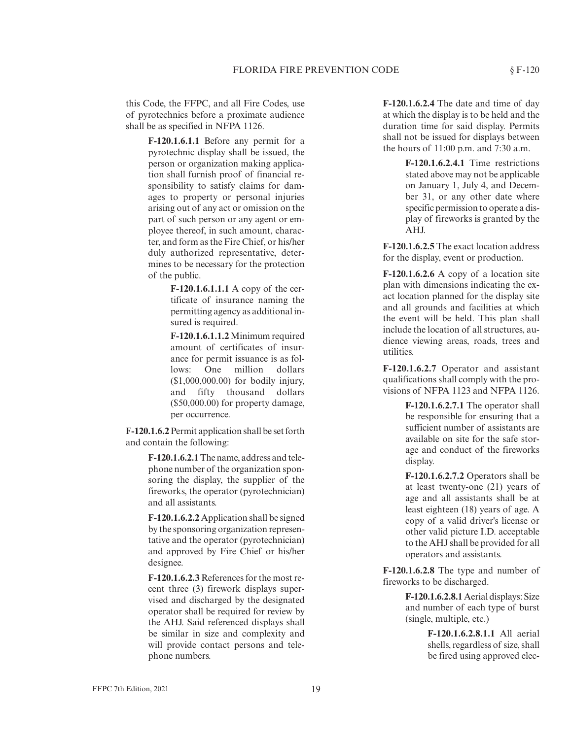this Code, the FFPC, and all Fire Codes, use of pyrotechnics before a proximate audience shall be as specified in NFPA 1126.

> **F-120.1.6.1.1** Before any permit for a pyrotechnic display shall be issued, the person or organization making application shall furnish proof of financial responsibility to satisfy claims for damages to property or personal injuries arising out of any act or omission on the part of such person or any agent or employee thereof, in such amount, character, and form as the Fire Chief, or his/her duly authorized representative, determines to be necessary for the protection of the public.

> > **F-120.1.6.1.1.1** A copy of the certificate of insurance naming the permitting agency as additional insured is required.

**F-120.1.6.1.1.2**Minimum required amount of certificates of insurance for permit issuance is as follows: One million dollars (\$1,000,000.00) for bodily injury, and fifty thousand dollars (\$50,000.00) for property damage, per occurrence.

**F-120.1.6.2**Permit application shall be set forth and contain the following:

> **F-120.1.6.2.1**The name, address and telephone number of the organization sponsoring the display, the supplier of the fireworks, the operator (pyrotechnician) and all assistants.

> **F-120.1.6.2.2** Application shall be signed by the sponsoring organization representative and the operator (pyrotechnician) and approved by Fire Chief or his/her designee.

> **F-120.1.6.2.3** References for the most recent three (3) firework displays supervised and discharged by the designated operator shall be required for review by the AHJ. Said referenced displays shall be similar in size and complexity and will provide contact persons and telephone numbers.

**F-120.1.6.2.4** The date and time of day at which the display is to be held and the duration time for said display. Permits shall not be issued for displays between the hours of 11:00 p.m. and 7:30 a.m.

> **F-120.1.6.2.4.1** Time restrictions stated above may not be applicable on January 1, July 4, and December 31, or any other date where specific permission to operate a display of fireworks is granted by the AHJ.

**F-120.1.6.2.5** The exact location address for the display, event or production.

**F-120.1.6.2.6** A copy of a location site plan with dimensions indicating the exact location planned for the display site and all grounds and facilities at which the event will be held. This plan shall include the location of all structures, audience viewing areas, roads, trees and utilities.

**F-120.1.6.2.7** Operator and assistant qualifications shall comply with the provisions of NFPA 1123 and NFPA 1126.

> **F-120.1.6.2.7.1** The operator shall be responsible for ensuring that a sufficient number of assistants are available on site for the safe storage and conduct of the fireworks display.

> **F-120.1.6.2.7.2** Operators shall be at least twenty-one (21) years of age and all assistants shall be at least eighteen (18) years of age. A copy of a valid driver's license or other valid picture I.D. acceptable to the AHJ shall be provided for all operators and assistants.

**F-120.1.6.2.8** The type and number of fireworks to be discharged.

> **F-120.1.6.2.8.1**Aerial displays: Size and number of each type of burst (single, multiple, etc.)

> > **F-120.1.6.2.8.1.1** All aerial shells, regardless of size, shall be fired using approved elec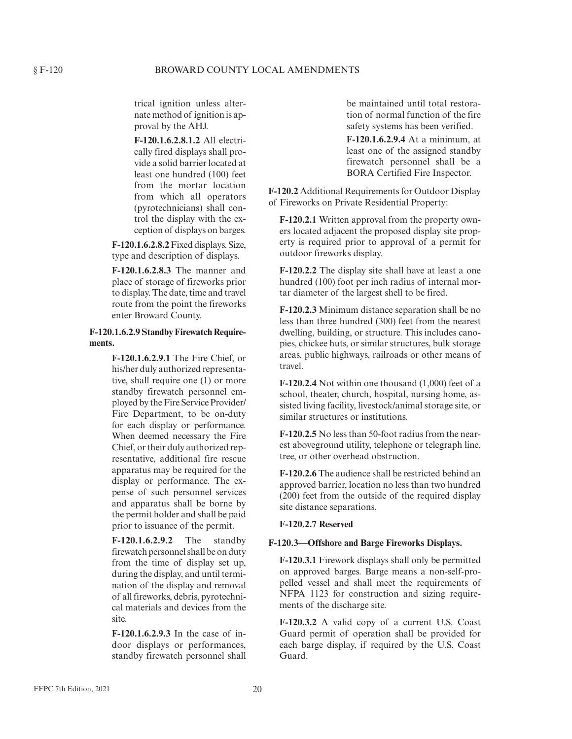trical ignition unless alternate method of ignition is approval by the AHJ.

**F-120.1.6.2.8.1.2** All electrically fired displays shall provide a solid barrier located at least one hundred (100) feet from the mortar location from which all operators (pyrotechnicians) shall control the display with the exception of displays on barges.

**F-120.1.6.2.8.2**Fixed displays. Size, type and description of displays.

**F-120.1.6.2.8.3** The manner and place of storage of fireworks prior to display. The date, time and travel route from the point the fireworks enter Broward County.

# **F-120.1.6.2.9 Standby Firewatch Requirements.**

**F-120.1.6.2.9.1** The Fire Chief, or his/her duly authorized representative, shall require one (1) or more standby firewatch personnel employed by the Fire Service Provider/ Fire Department, to be on-duty for each display or performance. When deemed necessary the Fire Chief, or their duly authorized representative, additional fire rescue apparatus may be required for the display or performance. The expense of such personnel services and apparatus shall be borne by the permit holder and shall be paid prior to issuance of the permit.

**F-120.1.6.2.9.2** The standby firewatch personnel shall be on duty from the time of display set up, during the display, and until termination of the display and removal of all fireworks, debris, pyrotechnical materials and devices from the site.

**F-120.1.6.2.9.3** In the case of indoor displays or performances, standby firewatch personnel shall

be maintained until total restoration of normal function of the fire safety systems has been verified.

**F-120.1.6.2.9.4** At a minimum, at least one of the assigned standby firewatch personnel shall be a BORA Certified Fire Inspector.

**F-120.2** Additional Requirements for Outdoor Display of Fireworks on Private Residential Property:

**F-120.2.1** Written approval from the property owners located adjacent the proposed display site property is required prior to approval of a permit for outdoor fireworks display.

**F-120.2.2** The display site shall have at least a one hundred (100) foot per inch radius of internal mortar diameter of the largest shell to be fired.

**F-120.2.3** Minimum distance separation shall be no less than three hundred (300) feet from the nearest dwelling, building, or structure. This includes canopies, chickee huts, or similar structures, bulk storage areas, public highways, railroads or other means of travel.

**F-120.2.4** Not within one thousand (1,000) feet of a school, theater, church, hospital, nursing home, assisted living facility, livestock/animal storage site, or similar structures or institutions.

**F-120.2.5** No less than 50-foot radius from the nearest aboveground utility, telephone or telegraph line, tree, or other overhead obstruction.

**F-120.2.6** The audience shall be restricted behind an approved barrier, location no less than two hundred (200) feet from the outside of the required display site distance separations.

# **F-120.2.7 Reserved**

# **F-120.3—Offshore and Barge Fireworks Displays.**

**F-120.3.1** Firework displays shall only be permitted on approved barges. Barge means a non-self-propelled vessel and shall meet the requirements of NFPA 1123 for construction and sizing requirements of the discharge site.

**F-120.3.2** A valid copy of a current U.S. Coast Guard permit of operation shall be provided for each barge display, if required by the U.S. Coast Guard.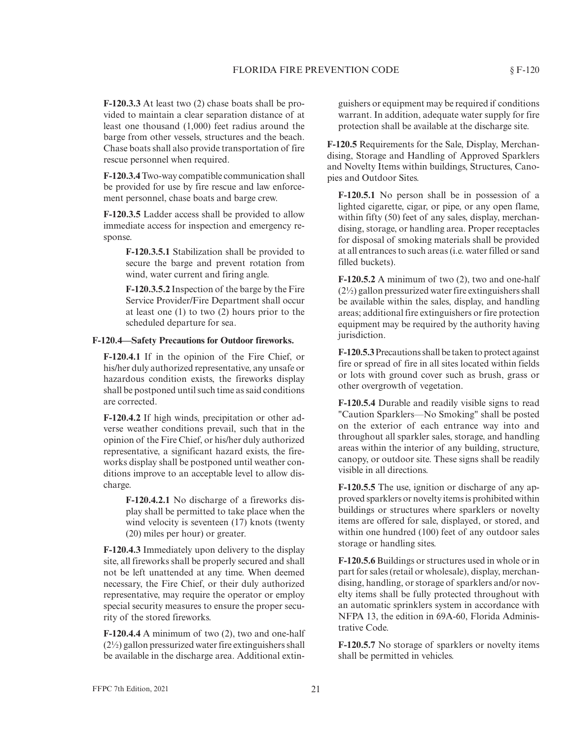**F-120.3.3** At least two (2) chase boats shall be provided to maintain a clear separation distance of at least one thousand (1,000) feet radius around the barge from other vessels, structures and the beach. Chase boats shall also provide transportation of fire rescue personnel when required.

**F-120.3.4**Two-way compatible communication shall be provided for use by fire rescue and law enforcement personnel, chase boats and barge crew.

**F-120.3.5** Ladder access shall be provided to allow immediate access for inspection and emergency response.

> **F-120.3.5.1** Stabilization shall be provided to secure the barge and prevent rotation from wind, water current and firing angle.

> **F-120.3.5.2** Inspection of the barge by the Fire Service Provider/Fire Department shall occur at least one (1) to two (2) hours prior to the scheduled departure for sea.

#### **F-120.4—Safety Precautions for Outdoor fireworks.**

**F-120.4.1** If in the opinion of the Fire Chief, or his/her duly authorized representative, any unsafe or hazardous condition exists, the fireworks display shall be postponed until such time as said conditions are corrected.

**F-120.4.2** If high winds, precipitation or other adverse weather conditions prevail, such that in the opinion of the Fire Chief, or his/her duly authorized representative, a significant hazard exists, the fireworks display shall be postponed until weather conditions improve to an acceptable level to allow discharge.

> **F-120.4.2.1** No discharge of a fireworks display shall be permitted to take place when the wind velocity is seventeen (17) knots (twenty (20) miles per hour) or greater.

**F-120.4.3** Immediately upon delivery to the display site, all fireworks shall be properly secured and shall not be left unattended at any time. When deemed necessary, the Fire Chief, or their duly authorized representative, may require the operator or employ special security measures to ensure the proper security of the stored fireworks.

**F-120.4.4** A minimum of two (2), two and one-half  $(2\frac{1}{2})$  gallon pressurized water fire extinguishers shall be available in the discharge area. Additional extinguishers or equipment may be required if conditions warrant. In addition, adequate water supply for fire protection shall be available at the discharge site.

**F-120.5** Requirements for the Sale, Display, Merchandising, Storage and Handling of Approved Sparklers and Novelty Items within buildings, Structures, Canopies and Outdoor Sites.

**F-120.5.1** No person shall be in possession of a lighted cigarette, cigar, or pipe, or any open flame, within fifty (50) feet of any sales, display, merchandising, storage, or handling area. Proper receptacles for disposal of smoking materials shall be provided at all entrances to such areas (i.e. water filled or sand filled buckets).

**F-120.5.2** A minimum of two (2), two and one-half  $(2\frac{1}{2})$  gallon pressurized water fire extinguishers shall be available within the sales, display, and handling areas; additional fire extinguishers or fire protection equipment may be required by the authority having jurisdiction.

**F-120.5.3**Precautions shall be taken to protect against fire or spread of fire in all sites located within fields or lots with ground cover such as brush, grass or other overgrowth of vegetation.

**F-120.5.4** Durable and readily visible signs to read "Caution Sparklers—No Smoking" shall be posted on the exterior of each entrance way into and throughout all sparkler sales, storage, and handling areas within the interior of any building, structure, canopy, or outdoor site. These signs shall be readily visible in all directions.

**F-120.5.5** The use, ignition or discharge of any approved sparklers or novelty items is prohibited within buildings or structures where sparklers or novelty items are offered for sale, displayed, or stored, and within one hundred (100) feet of any outdoor sales storage or handling sites.

**F-120.5.6** Buildings or structures used in whole or in part for sales (retail or wholesale), display, merchandising, handling, or storage of sparklers and/or novelty items shall be fully protected throughout with an automatic sprinklers system in accordance with NFPA 13, the edition in 69A-60, Florida Administrative Code.

**F-120.5.7** No storage of sparklers or novelty items shall be permitted in vehicles.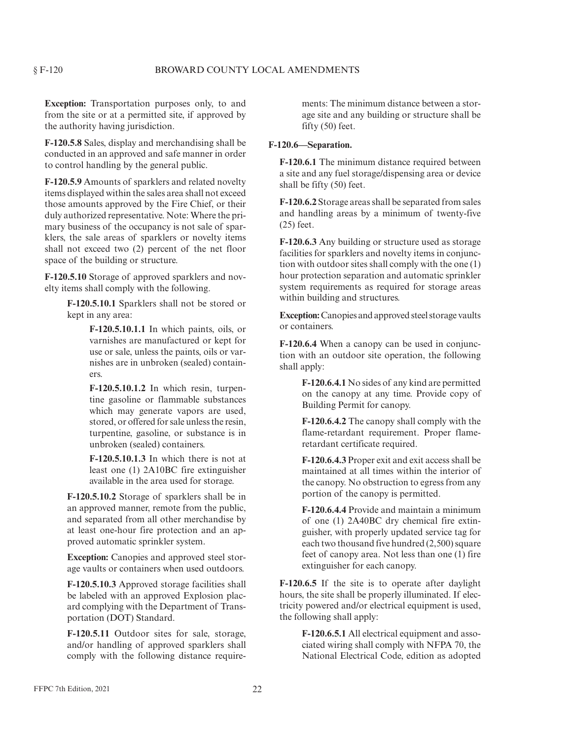**Exception:** Transportation purposes only, to and from the site or at a permitted site, if approved by the authority having jurisdiction.

**F-120.5.8** Sales, display and merchandising shall be conducted in an approved and safe manner in order to control handling by the general public.

**F-120.5.9** Amounts of sparklers and related novelty items displayed within the sales area shall not exceed those amounts approved by the Fire Chief, or their duly authorized representative. Note: Where the primary business of the occupancy is not sale of sparklers, the sale areas of sparklers or novelty items shall not exceed two (2) percent of the net floor space of the building or structure.

**F-120.5.10** Storage of approved sparklers and novelty items shall comply with the following.

> **F-120.5.10.1** Sparklers shall not be stored or kept in any area:

> > **F-120.5.10.1.1** In which paints, oils, or varnishes are manufactured or kept for use or sale, unless the paints, oils or varnishes are in unbroken (sealed) containers.

> > **F-120.5.10.1.2** In which resin, turpentine gasoline or flammable substances which may generate vapors are used, stored, or offered for sale unless the resin, turpentine, gasoline, or substance is in unbroken (sealed) containers.

> > **F-120.5.10.1.3** In which there is not at least one (1) 2A10BC fire extinguisher available in the area used for storage.

**F-120.5.10.2** Storage of sparklers shall be in an approved manner, remote from the public, and separated from all other merchandise by at least one-hour fire protection and an approved automatic sprinkler system.

**Exception:** Canopies and approved steel storage vaults or containers when used outdoors.

**F-120.5.10.3** Approved storage facilities shall be labeled with an approved Explosion placard complying with the Department of Transportation (DOT) Standard.

**F-120.5.11** Outdoor sites for sale, storage, and/or handling of approved sparklers shall comply with the following distance requirements: The minimum distance between a storage site and any building or structure shall be fifty (50) feet.

#### **F-120.6—Separation.**

**F-120.6.1** The minimum distance required between a site and any fuel storage/dispensing area or device shall be fifty (50) feet.

**F-120.6.2** Storage areas shall be separated from sales and handling areas by a minimum of twenty-five (25) feet.

**F-120.6.3** Any building or structure used as storage facilities for sparklers and novelty items in conjunction with outdoor sites shall comply with the one (1) hour protection separation and automatic sprinkler system requirements as required for storage areas within building and structures.

**Exception:**Canopies and approved steel storage vaults or containers.

**F-120.6.4** When a canopy can be used in conjunction with an outdoor site operation, the following shall apply:

> **F-120.6.4.1** No sides of any kind are permitted on the canopy at any time. Provide copy of Building Permit for canopy.

> **F-120.6.4.2** The canopy shall comply with the flame-retardant requirement. Proper flameretardant certificate required.

> **F-120.6.4.3** Proper exit and exit access shall be maintained at all times within the interior of the canopy. No obstruction to egress from any portion of the canopy is permitted.

> **F-120.6.4.4** Provide and maintain a minimum of one (1) 2A40BC dry chemical fire extinguisher, with properly updated service tag for each two thousand five hundred (2,500) square feet of canopy area. Not less than one (1) fire extinguisher for each canopy.

**F-120.6.5** If the site is to operate after daylight hours, the site shall be properly illuminated. If electricity powered and/or electrical equipment is used, the following shall apply:

**F-120.6.5.1** All electrical equipment and associated wiring shall comply with NFPA 70, the National Electrical Code, edition as adopted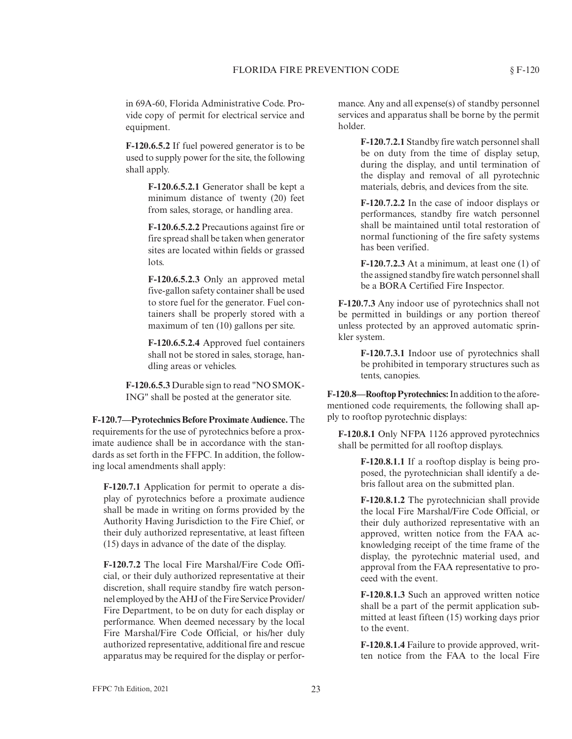in 69A-60, Florida Administrative Code. Provide copy of permit for electrical service and equipment.

**F-120.6.5.2** If fuel powered generator is to be used to supply power for the site, the following shall apply.

> **F-120.6.5.2.1** Generator shall be kept a minimum distance of twenty (20) feet from sales, storage, or handling area.

> **F-120.6.5.2.2** Precautions against fire or fire spread shall be taken when generator sites are located within fields or grassed lots.

> **F-120.6.5.2.3** Only an approved metal five-gallon safety container shall be used to store fuel for the generator. Fuel containers shall be properly stored with a maximum of ten (10) gallons per site.

> **F-120.6.5.2.4** Approved fuel containers shall not be stored in sales, storage, handling areas or vehicles.

**F-120.6.5.3** Durable sign to read "NO SMOK-ING" shall be posted at the generator site.

**F-120.7—Pyrotechnics Before Proximate Audience.**The requirements for the use of pyrotechnics before a proximate audience shall be in accordance with the standards as set forth in the FFPC. In addition, the following local amendments shall apply:

**F-120.7.1** Application for permit to operate a display of pyrotechnics before a proximate audience shall be made in writing on forms provided by the Authority Having Jurisdiction to the Fire Chief, or their duly authorized representative, at least fifteen (15) days in advance of the date of the display.

**F-120.7.2** The local Fire Marshal/Fire Code Official, or their duly authorized representative at their discretion, shall require standby fire watch personnel employed by the AHJ of the Fire Service Provider/ Fire Department, to be on duty for each display or performance. When deemed necessary by the local Fire Marshal/Fire Code Official, or his/her duly authorized representative, additional fire and rescue apparatus may be required for the display or performance. Any and all expense(s) of standby personnel services and apparatus shall be borne by the permit holder.

> **F-120.7.2.1** Standby fire watch personnel shall be on duty from the time of display setup, during the display, and until termination of the display and removal of all pyrotechnic materials, debris, and devices from the site.

> **F-120.7.2.2** In the case of indoor displays or performances, standby fire watch personnel shall be maintained until total restoration of normal functioning of the fire safety systems has been verified.

> **F-120.7.2.3** At a minimum, at least one (1) of the assigned standby fire watch personnel shall be a BORA Certified Fire Inspector.

**F-120.7.3** Any indoor use of pyrotechnics shall not be permitted in buildings or any portion thereof unless protected by an approved automatic sprinkler system.

> **F-120.7.3.1** Indoor use of pyrotechnics shall be prohibited in temporary structures such as tents, canopies.

**F-120.8—Rooftop Pyrotechnics:**In addition to the aforementioned code requirements, the following shall apply to rooftop pyrotechnic displays:

**F-120.8.1** Only NFPA 1126 approved pyrotechnics shall be permitted for all rooftop displays.

> **F-120.8.1.1** If a rooftop display is being proposed, the pyrotechnician shall identify a debris fallout area on the submitted plan.

> **F-120.8.1.2** The pyrotechnician shall provide the local Fire Marshal/Fire Code Official, or their duly authorized representative with an approved, written notice from the FAA acknowledging receipt of the time frame of the display, the pyrotechnic material used, and approval from the FAA representative to proceed with the event.

> **F-120.8.1.3** Such an approved written notice shall be a part of the permit application submitted at least fifteen (15) working days prior to the event.

> **F-120.8.1.4** Failure to provide approved, written notice from the FAA to the local Fire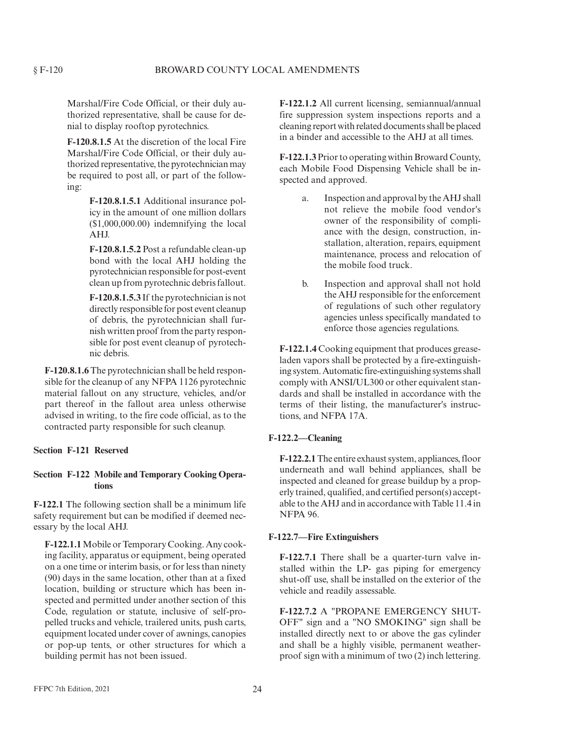Marshal/Fire Code Official, or their duly authorized representative, shall be cause for denial to display rooftop pyrotechnics.

**F-120.8.1.5** At the discretion of the local Fire Marshal/Fire Code Official, or their duly authorized representative, the pyrotechnician may be required to post all, or part of the following:

> **F-120.8.1.5.1** Additional insurance policy in the amount of one million dollars (\$1,000,000.00) indemnifying the local AHJ.

> **F-120.8.1.5.2** Post a refundable clean-up bond with the local AHJ holding the pyrotechnician responsible for post-event clean up from pyrotechnic debris fallout.

> **F-120.8.1.5.3** If the pyrotechnician is not directly responsible for post event cleanup of debris, the pyrotechnician shall furnish written proof from the party responsible for post event cleanup of pyrotechnic debris.

**F-120.8.1.6**The pyrotechnician shall be held responsible for the cleanup of any NFPA 1126 pyrotechnic material fallout on any structure, vehicles, and/or part thereof in the fallout area unless otherwise advised in writing, to the fire code official, as to the contracted party responsible for such cleanup.

#### **Section F-121 Reserved**

# **Section F-122 Mobile and Temporary Cooking Operations**

**F-122.1** The following section shall be a minimum life safety requirement but can be modified if deemed necessary by the local AHJ.

**F-122.1.1**Mobile or Temporary Cooking. Any cooking facility, apparatus or equipment, being operated on a one time or interim basis, or for less than ninety (90) days in the same location, other than at a fixed location, building or structure which has been inspected and permitted under another section of this Code, regulation or statute, inclusive of self-propelled trucks and vehicle, trailered units, push carts, equipment located under cover of awnings, canopies or pop-up tents, or other structures for which a building permit has not been issued.

**F-122.1.2** All current licensing, semiannual/annual fire suppression system inspections reports and a cleaning report with related documents shall be placed in a binder and accessible to the AHJ at all times.

**F-122.1.3** Prior to operating within Broward County, each Mobile Food Dispensing Vehicle shall be inspected and approved.

- a. Inspection and approval by the AHJ shall not relieve the mobile food vendor's owner of the responsibility of compliance with the design, construction, installation, alteration, repairs, equipment maintenance, process and relocation of the mobile food truck.
- b. Inspection and approval shall not hold the AHJ responsible for the enforcement of regulations of such other regulatory agencies unless specifically mandated to enforce those agencies regulations.

**F-122.1.4** Cooking equipment that produces greaseladen vapors shall be protected by a fire-extinguishing system. Automatic fire-extinguishing systems shall comply with ANSI/UL300 or other equivalent standards and shall be installed in accordance with the terms of their listing, the manufacturer's instructions, and NFPA 17A.

# **F-122.2—Cleaning**

**F-122.2.1**The entire exhaust system, appliances, floor underneath and wall behind appliances, shall be inspected and cleaned for grease buildup by a properly trained, qualified, and certified person(s) acceptable to the AHJ and in accordance with Table 11.4 in NFPA 96.

# **F-122.7—Fire Extinguishers**

**F-122.7.1** There shall be a quarter-turn valve installed within the LP- gas piping for emergency shut-off use, shall be installed on the exterior of the vehicle and readily assessable.

**F-122.7.2** A "PROPANE EMERGENCY SHUT-OFF" sign and a "NO SMOKING" sign shall be installed directly next to or above the gas cylinder and shall be a highly visible, permanent weatherproof sign with a minimum of two (2) inch lettering.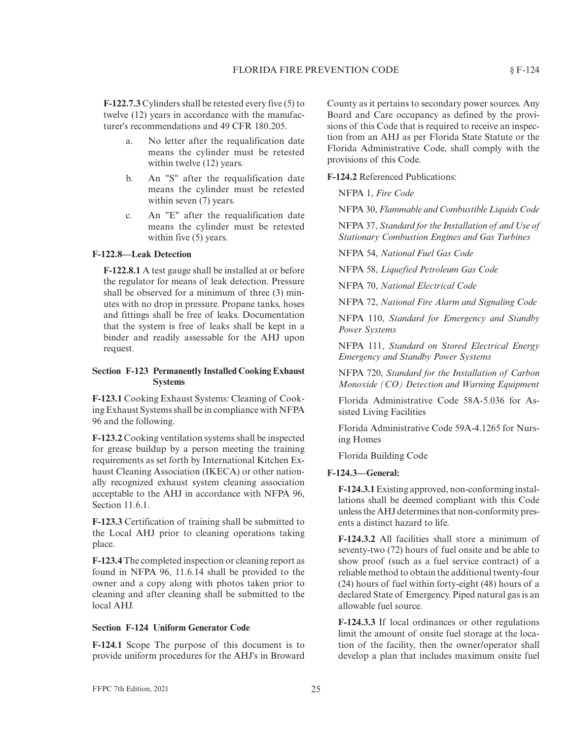**F-122.7.3** Cylinders shall be retested every five (5) to twelve (12) years in accordance with the manufacturer's recommendations and 49 CFR 180.205.

- a. No letter after the requalification date means the cylinder must be retested within twelve  $(12)$  years.
- b. An "S" after the requalification date means the cylinder must be retested within seven  $(7)$  years.
- c. An "E" after the requalification date means the cylinder must be retested within five (5) years.

# **F-122.8—Leak Detection**

**F-122.8.1** A test gauge shall be installed at or before the regulator for means of leak detection. Pressure shall be observed for a minimum of three (3) minutes with no drop in pressure. Propane tanks, hoses and fittings shall be free of leaks. Documentation that the system is free of leaks shall be kept in a binder and readily assessable for the AHJ upon request.

# **Section F-123 Permanently Installed Cooking Exhaust Systems**

**F-123.1** Cooking Exhaust Systems: Cleaning of Cooking Exhaust Systems shall be in compliance with NFPA 96 and the following.

**F-123.2** Cooking ventilation systems shall be inspected for grease buildup by a person meeting the training requirements as set forth by International Kitchen Exhaust Cleaning Association (IKECA) or other nationally recognized exhaust system cleaning association acceptable to the AHJ in accordance with NFPA 96, Section 11.6.1.

**F-123.3** Certification of training shall be submitted to the Local AHJ prior to cleaning operations taking place.

**F-123.4** The completed inspection or cleaning report as found in NFPA 96, 11.6.14 shall be provided to the owner and a copy along with photos taken prior to cleaning and after cleaning shall be submitted to the local AHJ.

#### **Section F-124 Uniform Generator Code**

**F-124.1** Scope The purpose of this document is to provide uniform procedures for the AHJ's in Broward County as it pertains to secondary power sources. Any Board and Care occupancy as defined by the provisions of this Code that is required to receive an inspection from an AHJ as per Florida State Statute or the Florida Administrative Code, shall comply with the provisions of this Code.

**F-124.2** Referenced Publications:

NFPA 1, *Fire Code*

NFPA 30, *Flammable and Combustible Liquids Code*

NFPA 37, *Standard for the Installation of and Use of Stationary Combustion Engines and Gas Turbines*

NFPA 54, *National Fuel Gas Code*

NFPA 58, *Liquefied Petroleum Gas Code*

NFPA 70, *National Electrical Code*

NFPA 72, *National Fire Alarm and Signaling Code*

NFPA 110, *Standard for Emergency and Standby Power Systems*

NFPA 111, *Standard on Stored Electrical Energy Emergency and Standby Power Systems*

NFPA 720, *Standard for the Installation of Carbon Monoxide (CO) Detection and Warning Equipment*

Florida Administrative Code 58A-5.036 for Assisted Living Facilities

Florida Administrative Code 59A-4.1265 for Nursing Homes

Florida Building Code

#### **F-124.3—General:**

**F-124.3.1**Existing approved, non-conforming installations shall be deemed compliant with this Code unless the AHJ determines that non-conformity presents a distinct hazard to life.

**F-124.3.2** All facilities shall store a minimum of seventy-two (72) hours of fuel onsite and be able to show proof (such as a fuel service contract) of a reliable method to obtain the additional twenty-four (24) hours of fuel within forty-eight (48) hours of a declared State of Emergency. Piped natural gas is an allowable fuel source.

**F-124.3.3** If local ordinances or other regulations limit the amount of onsite fuel storage at the location of the facility, then the owner/operator shall develop a plan that includes maximum onsite fuel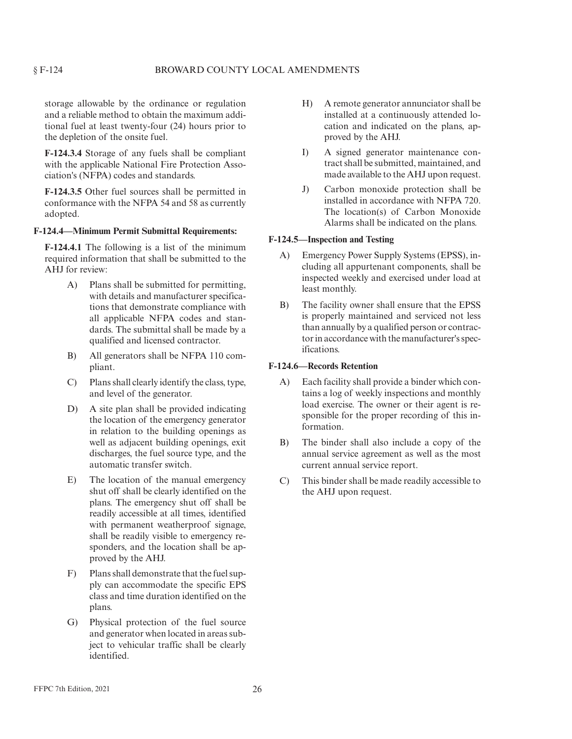storage allowable by the ordinance or regulation and a reliable method to obtain the maximum additional fuel at least twenty-four (24) hours prior to the depletion of the onsite fuel.

**F-124.3.4** Storage of any fuels shall be compliant with the applicable National Fire Protection Association's (NFPA) codes and standards.

**F-124.3.5** Other fuel sources shall be permitted in conformance with the NFPA 54 and 58 as currently adopted.

# **F-124.4—Minimum Permit Submittal Requirements:**

**F-124.4.1** The following is a list of the minimum required information that shall be submitted to the AHJ for review:

- A) Plans shall be submitted for permitting, with details and manufacturer specifications that demonstrate compliance with all applicable NFPA codes and standards. The submittal shall be made by a qualified and licensed contractor.
- B) All generators shall be NFPA 110 compliant.
- C) Plans shall clearly identify the class, type, and level of the generator.
- D) A site plan shall be provided indicating the location of the emergency generator in relation to the building openings as well as adjacent building openings, exit discharges, the fuel source type, and the automatic transfer switch.
- E) The location of the manual emergency shut off shall be clearly identified on the plans. The emergency shut off shall be readily accessible at all times, identified with permanent weatherproof signage, shall be readily visible to emergency responders, and the location shall be approved by the AHJ.
- F) Plans shall demonstrate that the fuel supply can accommodate the specific EPS class and time duration identified on the plans.
- G) Physical protection of the fuel source and generator when located in areas subject to vehicular traffic shall be clearly identified.
- H) A remote generator annunciator shall be installed at a continuously attended location and indicated on the plans, approved by the AHJ.
- I) A signed generator maintenance contract shall be submitted, maintained, and made available to the AHJ upon request.
- J) Carbon monoxide protection shall be installed in accordance with NFPA 720. The location(s) of Carbon Monoxide Alarms shall be indicated on the plans.

#### **F-124.5—Inspection and Testing**

- A) Emergency Power Supply Systems (EPSS), including all appurtenant components, shall be inspected weekly and exercised under load at least monthly.
- B) The facility owner shall ensure that the EPSS is properly maintained and serviced not less than annually by a qualified person or contractor in accordance with the manufacturer's specifications.

#### **F-124.6—Records Retention**

- A) Each facility shall provide a binder which contains a log of weekly inspections and monthly load exercise. The owner or their agent is responsible for the proper recording of this information.
- B) The binder shall also include a copy of the annual service agreement as well as the most current annual service report.
- C) This binder shall be made readily accessible to the AHJ upon request.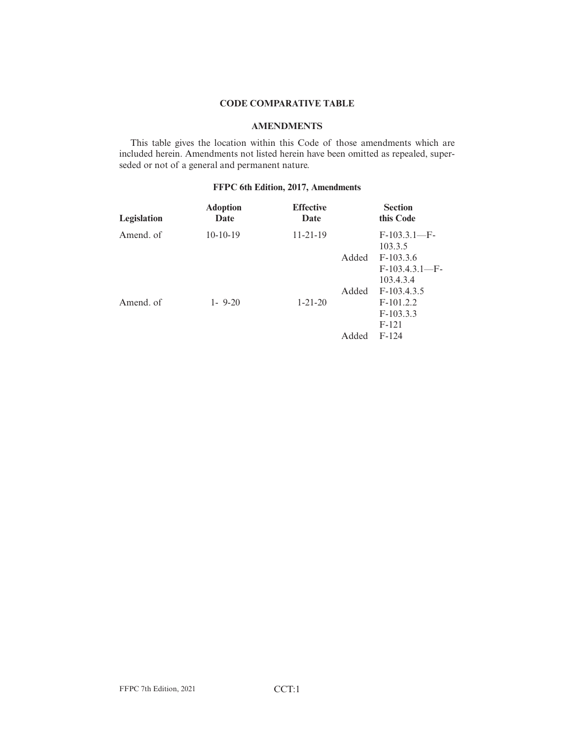# **CODE COMPARATIVE TABLE**

# **AMENDMENTS**

This table gives the location within this Code of those amendments which are included herein. Amendments not listed herein have been omitted as repealed, superseded or not of a general and permanent nature.

# **FFPC 6th Edition, 2017, Amendments**

| Legislation | <b>Adoption</b><br>Date | <b>Effective</b><br>Date |       | <b>Section</b><br>this Code           |
|-------------|-------------------------|--------------------------|-------|---------------------------------------|
| Amend. of   | $10-10-19$              | $11 - 21 - 19$           |       | $F-103.3.1-F-$<br>103.3.5             |
|             |                         |                          | Added | $F-103.3.6$<br>$F-103.4.3.1-F-$       |
|             |                         |                          | Added | 103.4.3.4<br>$F-103.4.3.5$            |
| Amend. of   | $1 - 9 - 20$            | $1 - 21 - 20$            |       | $F-101.2.2$<br>$F-103.3.3$<br>$F-121$ |
|             |                         |                          | Added | $F-124$                               |